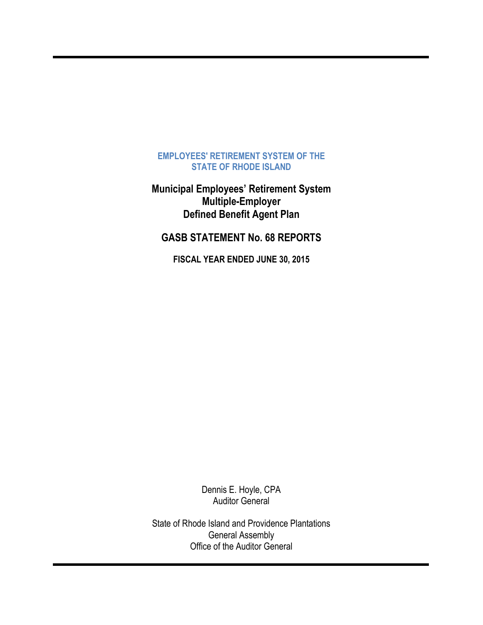**Municipal Employees' Retirement System Multiple-Employer Defined Benefit Agent Plan**

## **GASB STATEMENT No. 68 REPORTS**

**FISCAL YEAR ENDED JUNE 30, 2015**

Dennis E. Hoyle, CPA Auditor General

State of Rhode Island and Providence Plantations General Assembly Office of the Auditor General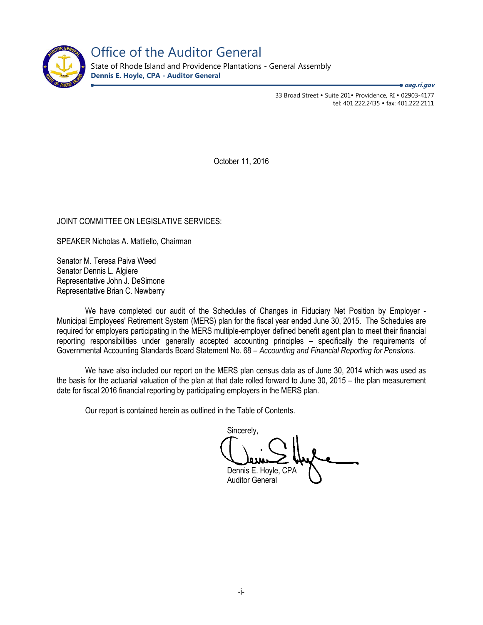

Office of the Auditor General

State of Rhode Island and Providence Plantations - General Assembly **Dennis E. Hoyle, CPA - Auditor General**

> 33 Broad Street • Suite 201• Providence, RI • 02903-4177 tel: 401.222.2435 · fax: 401.222.2111 **oag.ri.gov**

October 11, 2016

### JOINT COMMITTEE ON LEGISLATIVE SERVICES:

SPEAKER Nicholas A. Mattiello, Chairman

Senator M. Teresa Paiva Weed Senator Dennis L. Algiere Representative John J. DeSimone Representative Brian C. Newberry

We have completed our audit of the Schedules of Changes in Fiduciary Net Position by Employer - Municipal Employees' Retirement System (MERS) plan for the fiscal year ended June 30, 2015. The Schedules are required for employers participating in the MERS multiple-employer defined benefit agent plan to meet their financial reporting responsibilities under generally accepted accounting principles – specifically the requirements of Governmental Accounting Standards Board Statement No. 68 – *Accounting and Financial Reporting for Pensions.* 

We have also included our report on the MERS plan census data as of June 30, 2014 which was used as the basis for the actuarial valuation of the plan at that date rolled forward to June 30, 2015 – the plan measurement date for fiscal 2016 financial reporting by participating employers in the MERS plan.

Our report is contained herein as outlined in the Table of Contents.

Sincerely, Dennis E. Hoyle, CPA Auditor General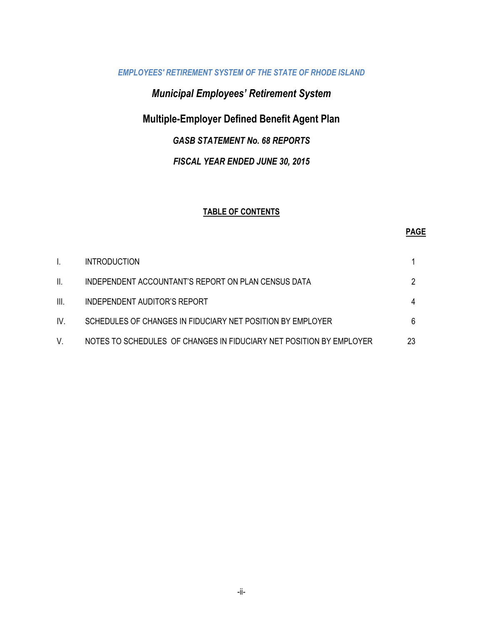# *Municipal Employees' Retirement System*

# **Multiple-Employer Defined Benefit Agent Plan**

# *GASB STATEMENT No. 68 REPORTS*

## *FISCAL YEAR ENDED JUNE 30, 2015*

### **TABLE OF CONTENTS**

### **PAGE**

|      | <b>INTRODUCTION</b>                                                 |    |
|------|---------------------------------------------------------------------|----|
| II.  | INDEPENDENT ACCOUNTANT'S REPORT ON PLAN CENSUS DATA                 | 2  |
| III. | INDEPENDENT AUDITOR'S REPORT                                        |    |
| IV.  | SCHEDULES OF CHANGES IN FIDUCIARY NET POSITION BY EMPLOYER          | 6  |
|      | NOTES TO SCHEDULES OF CHANGES IN FIDUCIARY NET POSITION BY EMPLOYER | 23 |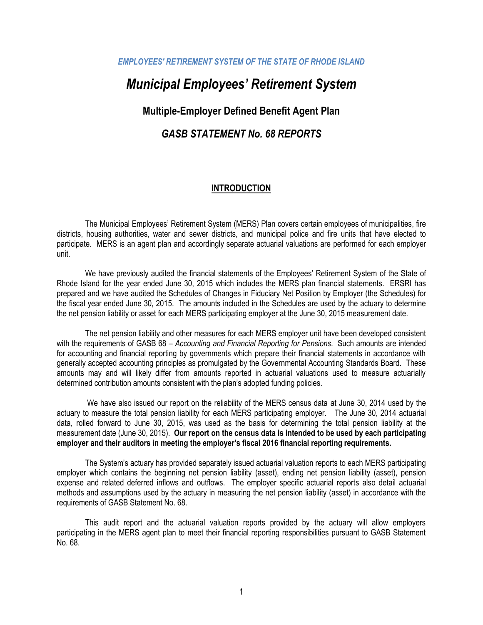# *Municipal Employees' Retirement System*

**Multiple-Employer Defined Benefit Agent Plan** 

### *GASB STATEMENT No. 68 REPORTS*

### **INTRODUCTION**

The Municipal Employees' Retirement System (MERS) Plan covers certain employees of municipalities, fire districts, housing authorities, water and sewer districts, and municipal police and fire units that have elected to participate. MERS is an agent plan and accordingly separate actuarial valuations are performed for each employer unit.

We have previously audited the financial statements of the Employees' Retirement System of the State of Rhode Island for the year ended June 30, 2015 which includes the MERS plan financial statements. ERSRI has prepared and we have audited the Schedules of Changes in Fiduciary Net Position by Employer (the Schedules) for the fiscal year ended June 30, 2015. The amounts included in the Schedules are used by the actuary to determine the net pension liability or asset for each MERS participating employer at the June 30, 2015 measurement date.

The net pension liability and other measures for each MERS employer unit have been developed consistent with the requirements of GASB 68 – *Accounting and Financial Reporting for Pensions*. Such amounts are intended for accounting and financial reporting by governments which prepare their financial statements in accordance with generally accepted accounting principles as promulgated by the Governmental Accounting Standards Board. These amounts may and will likely differ from amounts reported in actuarial valuations used to measure actuarially determined contribution amounts consistent with the plan's adopted funding policies.

We have also issued our report on the reliability of the MERS census data at June 30, 2014 used by the actuary to measure the total pension liability for each MERS participating employer. The June 30, 2014 actuarial data, rolled forward to June 30, 2015, was used as the basis for determining the total pension liability at the measurement date (June 30, 2015). **Our report on the census data is intended to be used by each participating employer and their auditors in meeting the employer's fiscal 2016 financial reporting requirements.**

The System's actuary has provided separately issued actuarial valuation reports to each MERS participating employer which contains the beginning net pension liability (asset), ending net pension liability (asset), pension expense and related deferred inflows and outflows. The employer specific actuarial reports also detail actuarial methods and assumptions used by the actuary in measuring the net pension liability (asset) in accordance with the requirements of GASB Statement No. 68.

This audit report and the actuarial valuation reports provided by the actuary will allow employers participating in the MERS agent plan to meet their financial reporting responsibilities pursuant to GASB Statement No. 68.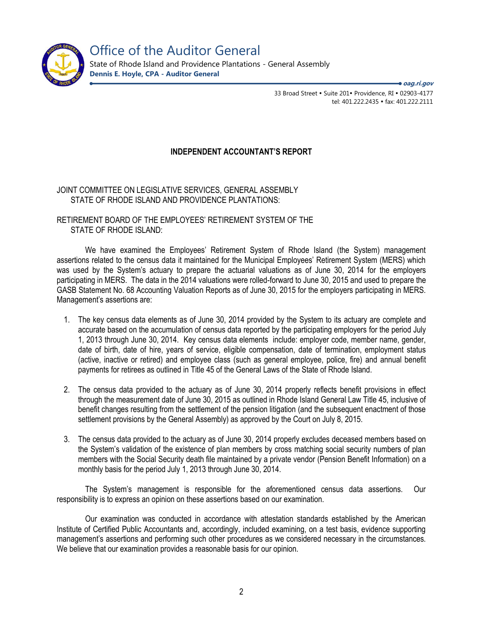

Office of the Auditor General State of Rhode Island and Providence Plantations - General Assembly

**Dennis E. Hoyle, CPA - Auditor General**

33 Broad Street • Suite 201• Providence, RI • 02903-4177 tel: 401.222.2435 fax: 401.222.2111 **oag.ri.gov**

### **INDEPENDENT ACCOUNTANT'S REPORT**

JOINT COMMITTEE ON LEGISLATIVE SERVICES, GENERAL ASSEMBLY STATE OF RHODE ISLAND AND PROVIDENCE PLANTATIONS:

RETIREMENT BOARD OF THE EMPLOYEES' RETIREMENT SYSTEM OF THE STATE OF RHODE ISLAND:

We have examined the Employees' Retirement System of Rhode Island (the System) management assertions related to the census data it maintained for the Municipal Employees' Retirement System (MERS) which was used by the System's actuary to prepare the actuarial valuations as of June 30, 2014 for the employers participating in MERS. The data in the 2014 valuations were rolled-forward to June 30, 2015 and used to prepare the GASB Statement No. 68 Accounting Valuation Reports as of June 30, 2015 for the employers participating in MERS. Management's assertions are:

- 1. The key census data elements as of June 30, 2014 provided by the System to its actuary are complete and accurate based on the accumulation of census data reported by the participating employers for the period July 1, 2013 through June 30, 2014. Key census data elements include: employer code, member name, gender, date of birth, date of hire, years of service, eligible compensation, date of termination, employment status (active, inactive or retired) and employee class (such as general employee, police, fire) and annual benefit payments for retirees as outlined in Title 45 of the General Laws of the State of Rhode Island.
- 2. The census data provided to the actuary as of June 30, 2014 properly reflects benefit provisions in effect through the measurement date of June 30, 2015 as outlined in Rhode Island General Law Title 45, inclusive of benefit changes resulting from the settlement of the pension litigation (and the subsequent enactment of those settlement provisions by the General Assembly) as approved by the Court on July 8, 2015.
- 3. The census data provided to the actuary as of June 30, 2014 properly excludes deceased members based on the System's validation of the existence of plan members by cross matching social security numbers of plan members with the Social Security death file maintained by a private vendor (Pension Benefit Information) on a monthly basis for the period July 1, 2013 through June 30, 2014.

The System's management is responsible for the aforementioned census data assertions. Our responsibility is to express an opinion on these assertions based on our examination.

Our examination was conducted in accordance with attestation standards established by the American Institute of Certified Public Accountants and, accordingly, included examining, on a test basis, evidence supporting management's assertions and performing such other procedures as we considered necessary in the circumstances. We believe that our examination provides a reasonable basis for our opinion.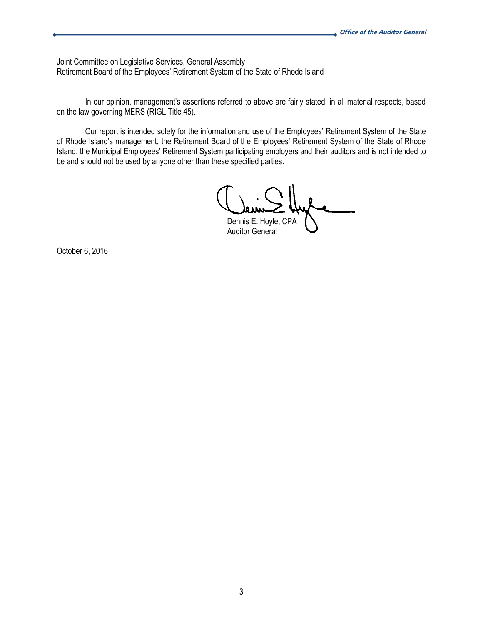Joint Committee on Legislative Services, General Assembly Retirement Board of the Employees' Retirement System of the State of Rhode Island

In our opinion, management's assertions referred to above are fairly stated, in all material respects, based on the law governing MERS (RIGL Title 45).

Our report is intended solely for the information and use of the Employees' Retirement System of the State of Rhode Island's management, the Retirement Board of the Employees' Retirement System of the State of Rhode Island, the Municipal Employees' Retirement System participating employers and their auditors and is not intended to be and should not be used by anyone other than these specified parties.

Dennis E. Hoyle,

Auditor General

October 6, 2016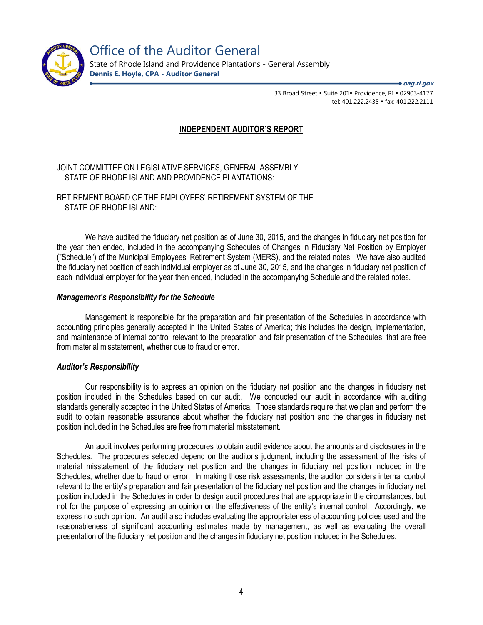

Office of the Auditor General State of Rhode Island and Providence Plantations - General Assembly **Dennis E. Hoyle, CPA - Auditor General**

> 33 Broad Street • Suite 201• Providence, RI • 02903-4177 tel: 401.222.2435 · fax: 401.222.2111 **oag.ri.gov**

### **INDEPENDENT AUDITOR'S REPORT**

### JOINT COMMITTEE ON LEGISLATIVE SERVICES, GENERAL ASSEMBLY STATE OF RHODE ISLAND AND PROVIDENCE PLANTATIONS:

### RETIREMENT BOARD OF THE EMPLOYEES' RETIREMENT SYSTEM OF THE STATE OF RHODE ISLAND:

We have audited the fiduciary net position as of June 30, 2015, and the changes in fiduciary net position for the year then ended, included in the accompanying Schedules of Changes in Fiduciary Net Position by Employer ("Schedule") of the Municipal Employees' Retirement System (MERS), and the related notes. We have also audited the fiduciary net position of each individual employer as of June 30, 2015, and the changes in fiduciary net position of each individual employer for the year then ended, included in the accompanying Schedule and the related notes.

#### *Management's Responsibility for the Schedule*

Management is responsible for the preparation and fair presentation of the Schedules in accordance with accounting principles generally accepted in the United States of America; this includes the design, implementation, and maintenance of internal control relevant to the preparation and fair presentation of the Schedules, that are free from material misstatement, whether due to fraud or error.

#### *Auditor's Responsibility*

Our responsibility is to express an opinion on the fiduciary net position and the changes in fiduciary net position included in the Schedules based on our audit. We conducted our audit in accordance with auditing standards generally accepted in the United States of America. Those standards require that we plan and perform the audit to obtain reasonable assurance about whether the fiduciary net position and the changes in fiduciary net position included in the Schedules are free from material misstatement.

An audit involves performing procedures to obtain audit evidence about the amounts and disclosures in the Schedules. The procedures selected depend on the auditor's judgment, including the assessment of the risks of material misstatement of the fiduciary net position and the changes in fiduciary net position included in the Schedules, whether due to fraud or error. In making those risk assessments, the auditor considers internal control relevant to the entity's preparation and fair presentation of the fiduciary net position and the changes in fiduciary net position included in the Schedules in order to design audit procedures that are appropriate in the circumstances, but not for the purpose of expressing an opinion on the effectiveness of the entity's internal control. Accordingly, we express no such opinion. An audit also includes evaluating the appropriateness of accounting policies used and the reasonableness of significant accounting estimates made by management, as well as evaluating the overall presentation of the fiduciary net position and the changes in fiduciary net position included in the Schedules.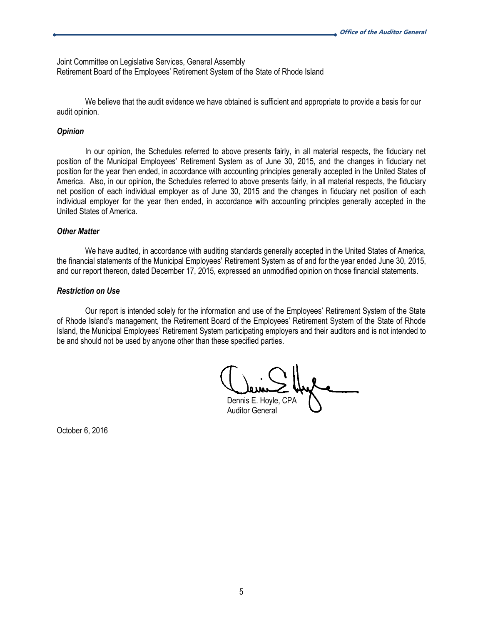Joint Committee on Legislative Services, General Assembly Retirement Board of the Employees' Retirement System of the State of Rhode Island

We believe that the audit evidence we have obtained is sufficient and appropriate to provide a basis for our audit opinion.

#### *Opinion*

In our opinion, the Schedules referred to above presents fairly, in all material respects, the fiduciary net position of the Municipal Employees' Retirement System as of June 30, 2015, and the changes in fiduciary net position for the year then ended, in accordance with accounting principles generally accepted in the United States of America. Also, in our opinion, the Schedules referred to above presents fairly, in all material respects, the fiduciary net position of each individual employer as of June 30, 2015 and the changes in fiduciary net position of each individual employer for the year then ended, in accordance with accounting principles generally accepted in the United States of America.

#### *Other Matter*

We have audited, in accordance with auditing standards generally accepted in the United States of America, the financial statements of the Municipal Employees' Retirement System as of and for the year ended June 30, 2015, and our report thereon, dated December 17, 2015, expressed an unmodified opinion on those financial statements.

#### *Restriction on Use*

Our report is intended solely for the information and use of the Employees' Retirement System of the State of Rhode Island's management, the Retirement Board of the Employees' Retirement System of the State of Rhode Island, the Municipal Employees' Retirement System participating employers and their auditors and is not intended to be and should not be used by anyone other than these specified parties.

Dennis E. Hoyle, CPA Auditor General

October 6, 2016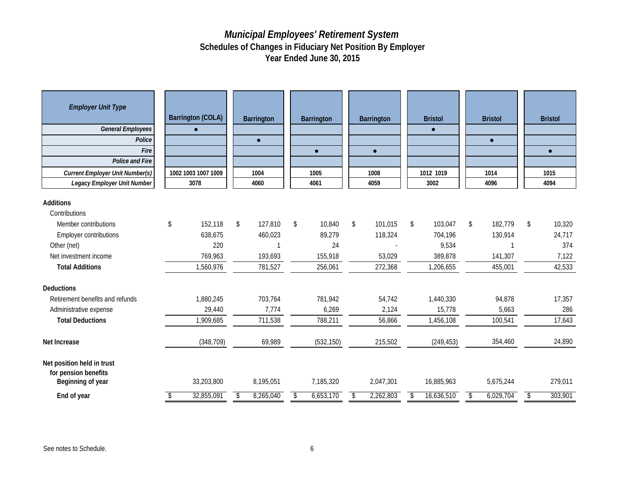| <b>Employer Unit Type</b>                                               | <b>Barrington (COLA)</b> | <b>Barrington</b> | <b>Barrington</b> | <b>Barrington</b> |    | <b>Bristol</b> | <b>Bristol</b>  | <b>Bristol</b> |
|-------------------------------------------------------------------------|--------------------------|-------------------|-------------------|-------------------|----|----------------|-----------------|----------------|
| <b>General Employees</b>                                                | $\bullet$                |                   |                   |                   |    | $\bullet$      |                 |                |
| Police                                                                  |                          | $\bullet$         |                   |                   |    |                | $\bullet$       |                |
| Fire                                                                    |                          |                   | $\bullet$         | $\bullet$         |    |                |                 | $\bullet$      |
| <b>Police and Fire</b>                                                  |                          |                   |                   |                   |    |                |                 |                |
| <b>Current Employer Unit Number(s)</b>                                  | 1002 1003 1007 1009      | 1004              | 1005              | 1008              |    | 1012 1019      | 1014            | 1015           |
| Legacy Employer Unit Number                                             | 3078                     | 4060              | 4061              | 4059              |    | 3002           | 4096            | 4094           |
| <b>Additions</b>                                                        |                          |                   |                   |                   |    |                |                 |                |
| Contributions                                                           |                          |                   |                   |                   |    |                |                 |                |
| Member contributions                                                    | 152,118<br>\$            | \$<br>127,810     | \$<br>10,840      | \$<br>101,015     | \$ | 103,047        | \$<br>182,779   | \$<br>10,320   |
| <b>Employer contributions</b>                                           | 638,675                  | 460,023           | 89,279            | 118,324           |    | 704,196        | 130,914         | 24,717         |
| Other (net)                                                             | 220                      |                   | 24                |                   |    | 9,534          |                 | 374            |
| Net investment income                                                   | 769,963                  | 193,693           | 155,918           | 53,029            |    | 389,878        | 141,307         | 7,122          |
| <b>Total Additions</b>                                                  | 1,560,976                | 781,527           | 256,061           | 272,368           |    | 1,206,655      | 455,001         | 42,533         |
| <b>Deductions</b>                                                       |                          |                   |                   |                   |    |                |                 |                |
| Retirement benefits and refunds                                         | 1,880,245                | 703,764           | 781,942           | 54,742            |    | 1,440,330      | 94,878          | 17,357         |
| Administrative expense                                                  | 29,440                   | 7,774             | 6,269             | 2,124             |    | 15,778         | 5,663           | 286            |
| <b>Total Deductions</b>                                                 | 1,909,685                | 711,538           | 788,211           | 56,866            |    | 1,456,108      | 100,541         | 17,643         |
| Net Increase                                                            | (348, 709)               | 69,989            | (532, 150)        | 215,502           |    | (249, 453)     | 354,460         | 24,890         |
| Net position held in trust<br>for pension benefits<br>Beginning of year | 33,203,800               | 8,195,051         | 7,185,320         | 2,047,301         |    | 16,885,963     | 5,675,244       | 279,011        |
| End of year                                                             | 32,855,091<br>S.         | 8,265,040<br>\$   | \$<br>6,653,170   | \$<br>2,262,803   | S. | 16,636,510     | \$<br>6,029,704 | \$<br>303,901  |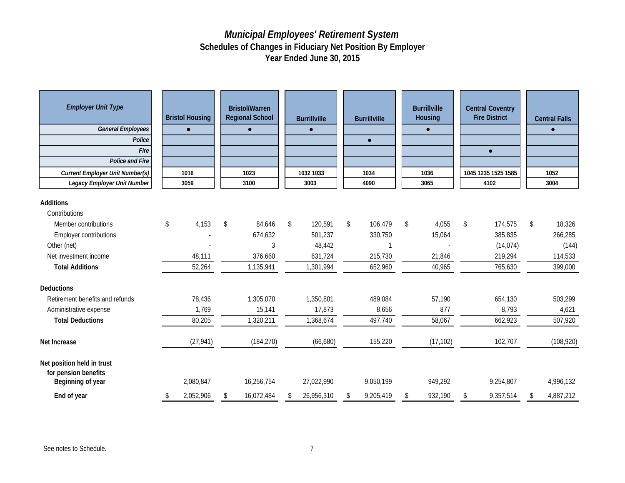| <b>Employer Unit Type</b><br><b>General Employees</b><br>Police<br>Fire<br><b>Police and Fire</b><br><b>Current Employer Unit Number(s)</b><br>Legacy Employer Unit Number | <b>Bristol Housing</b><br>$\bullet$<br>1016<br>3059 | <b>Bristol/Warren</b><br><b>Regional School</b><br>$\bullet$<br>1023<br>3100 | <b>Burrillville</b><br>$\bullet$<br>1032 1033<br>3003 | <b>Burrillville</b><br>$\bullet$<br>1034<br>4090 | <b>Burrillville</b><br>Housing<br>$\bullet$<br>1036<br>3065 | <b>Central Coventry</b><br><b>Fire District</b><br>$\bullet$<br>1045 1235 1525 1585<br>4102 |    | <b>Central Falls</b><br>$\bullet$<br>1052<br>3004 |
|----------------------------------------------------------------------------------------------------------------------------------------------------------------------------|-----------------------------------------------------|------------------------------------------------------------------------------|-------------------------------------------------------|--------------------------------------------------|-------------------------------------------------------------|---------------------------------------------------------------------------------------------|----|---------------------------------------------------|
|                                                                                                                                                                            |                                                     |                                                                              |                                                       |                                                  |                                                             |                                                                                             |    |                                                   |
| <b>Additions</b><br>Contributions                                                                                                                                          |                                                     |                                                                              |                                                       |                                                  |                                                             |                                                                                             |    |                                                   |
| Member contributions                                                                                                                                                       | \$<br>4,153                                         | \$<br>84,646                                                                 | \$<br>120,591                                         | \$<br>106,479                                    | \$<br>4,055                                                 | \$<br>174,575                                                                               | \$ | 18,326                                            |
| <b>Employer contributions</b>                                                                                                                                              |                                                     | 674,632                                                                      | 501,237                                               | 330,750                                          | 15,064                                                      | 385,835                                                                                     |    | 266,285                                           |
| Other (net)                                                                                                                                                                |                                                     | 3                                                                            | 48,442                                                |                                                  |                                                             | (14, 074)                                                                                   |    | (144)                                             |
| Net investment income                                                                                                                                                      | 48,111                                              | 376,660                                                                      | 631,724                                               | 215,730                                          | 21,846                                                      | 219,294                                                                                     |    | 114,533                                           |
| <b>Total Additions</b>                                                                                                                                                     | 52,264                                              | 1,135,941                                                                    | 1,301,994                                             | 652,960                                          | 40,965                                                      | 765,630                                                                                     |    | 399,000                                           |
| <b>Deductions</b>                                                                                                                                                          |                                                     |                                                                              |                                                       |                                                  |                                                             |                                                                                             |    |                                                   |
| Retirement benefits and refunds                                                                                                                                            | 78,436                                              | 1,305,070                                                                    | 1,350,801                                             | 489,084                                          | 57,190                                                      | 654,130                                                                                     |    | 503,299                                           |
| Administrative expense                                                                                                                                                     | 1,769                                               | 15,141                                                                       | 17,873                                                | 8,656                                            | 877                                                         | 8,793                                                                                       |    | 4,621                                             |
| <b>Total Deductions</b>                                                                                                                                                    | 80,205                                              | 1,320,211                                                                    | 1,368,674                                             | 497,740                                          | 58,067                                                      | 662,923                                                                                     |    | 507,920                                           |
| Net Increase                                                                                                                                                               | (27, 941)                                           | (184, 270)                                                                   | (66, 680)                                             | 155,220                                          | (17, 102)                                                   | 102,707                                                                                     |    | (108, 920)                                        |
| Net position held in trust<br>for pension benefits<br>Beginning of year                                                                                                    | 2,080,847                                           | 16,256,754                                                                   | 27,022,990                                            | 9,050,199                                        | 949,292                                                     | 9,254,807                                                                                   |    | 4,996,132                                         |
| End of year                                                                                                                                                                | 2,052,906                                           | \$<br>16,072,484                                                             | 26,956,310                                            | \$<br>9,205,419                                  | \$<br>932,190                                               | \$<br>9,357,514                                                                             | \$ | 4,887,212                                         |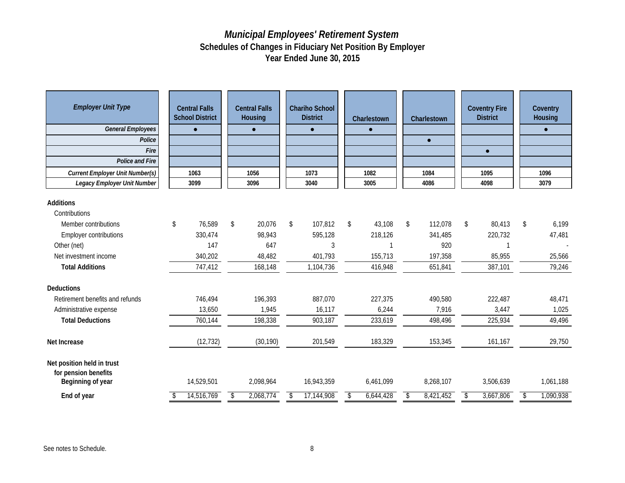| <b>Employer Unit Type</b><br><b>General Employees</b><br>Police<br>Fire<br><b>Police and Fire</b><br><b>Current Employer Unit Number(s)</b><br>Legacy Employer Unit Number | <b>Central Falls</b><br><b>School District</b><br>$\bullet$<br>1063<br>3099 | <b>Central Falls</b><br>Housing<br>$\bullet$<br>1056<br>3096 | <b>Chariho School</b><br><b>District</b><br>$\bullet$<br>1073<br>3040 | Charlestown<br>$\bullet$<br>1082<br>3005 | Charlestown<br>$\bullet$<br>1084<br>4086 | <b>Coventry Fire</b><br><b>District</b><br>$\bullet$<br>1095<br>4098 | Coventry<br>Housing<br>$\bullet$<br>1096<br>3079 |
|----------------------------------------------------------------------------------------------------------------------------------------------------------------------------|-----------------------------------------------------------------------------|--------------------------------------------------------------|-----------------------------------------------------------------------|------------------------------------------|------------------------------------------|----------------------------------------------------------------------|--------------------------------------------------|
| <b>Additions</b>                                                                                                                                                           |                                                                             |                                                              |                                                                       |                                          |                                          |                                                                      |                                                  |
| Contributions                                                                                                                                                              |                                                                             |                                                              |                                                                       |                                          |                                          |                                                                      |                                                  |
| Member contributions                                                                                                                                                       | 76,589<br>\$                                                                | \$<br>20,076                                                 | 107,812<br>\$                                                         | \$<br>43,108                             | \$<br>112,078                            | \$<br>80,413                                                         | 6,199<br>\$                                      |
| <b>Employer contributions</b>                                                                                                                                              | 330,474                                                                     | 98,943                                                       | 595,128                                                               | 218,126                                  | 341,485                                  | 220,732                                                              | 47,481                                           |
| Other (net)                                                                                                                                                                | 147                                                                         | 647                                                          | 3                                                                     |                                          | 920                                      |                                                                      |                                                  |
| Net investment income                                                                                                                                                      | 340,202                                                                     | 48,482                                                       | 401,793                                                               | 155,713                                  | 197,358                                  | 85,955                                                               | 25,566                                           |
| <b>Total Additions</b>                                                                                                                                                     | 747,412                                                                     | 168,148                                                      | 1,104,736                                                             | 416,948                                  | 651,841                                  | 387,101                                                              | 79,246                                           |
| Deductions                                                                                                                                                                 |                                                                             |                                                              |                                                                       |                                          |                                          |                                                                      |                                                  |
| Retirement benefits and refunds                                                                                                                                            | 746,494                                                                     | 196,393                                                      | 887,070                                                               | 227,375                                  | 490,580                                  | 222,487                                                              | 48,471                                           |
| Administrative expense                                                                                                                                                     | 13,650                                                                      | 1,945                                                        | 16,117                                                                | 6,244                                    | 7,916                                    | 3,447                                                                | 1,025                                            |
| <b>Total Deductions</b>                                                                                                                                                    | 760,144                                                                     | 198,338                                                      | 903,187                                                               | 233,619                                  | 498,496                                  | 225,934                                                              | 49,496                                           |
| Net Increase                                                                                                                                                               | (12, 732)                                                                   | (30, 190)                                                    | 201,549                                                               | 183,329                                  | 153,345                                  | 161,167                                                              | 29,750                                           |
| Net position held in trust<br>for pension benefits<br>Beginning of year                                                                                                    | 14,529,501                                                                  | 2,098,964                                                    | 16,943,359                                                            | 6,461,099                                | 8,268,107                                | 3,506,639                                                            | 1,061,188                                        |
| End of year                                                                                                                                                                | 14,516,769<br>S.                                                            | 2,068,774<br>\$                                              | 17,144,908<br>\$                                                      | 6,644,428<br>\$                          | 8,421,452<br>\$                          | 3,667,806<br>s.                                                      | 1,090,938<br>\$                                  |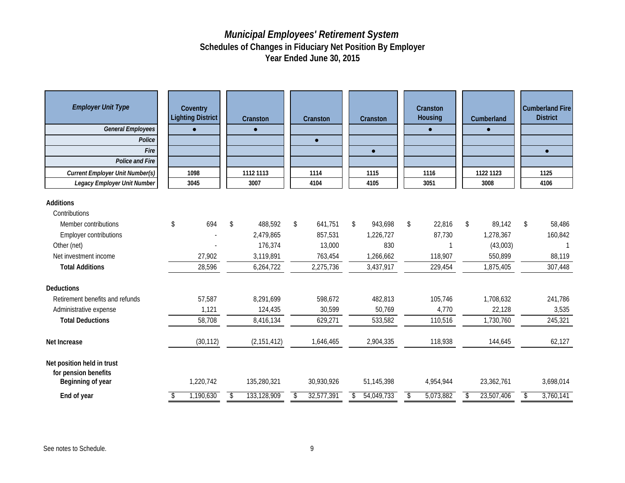| <b>Employer Unit Type</b><br><b>General Employees</b><br>Police<br>Fire<br><b>Police and Fire</b><br><b>Current Employer Unit Number(s)</b> | Coventry<br><b>Lighting District</b><br>$\bullet$<br>1098 | Cranston<br>$\bullet$<br>1112 1113 | Cranston<br>$\bullet$<br>1114 | Cranston<br>$\bullet$<br>1115 | Cranston<br><b>Housing</b><br>$\bullet$<br>1116 | Cumberland<br>$\bullet$<br>1122 1123 | <b>Cumberland Fire</b><br><b>District</b><br>$\bullet$<br>1125 |
|---------------------------------------------------------------------------------------------------------------------------------------------|-----------------------------------------------------------|------------------------------------|-------------------------------|-------------------------------|-------------------------------------------------|--------------------------------------|----------------------------------------------------------------|
| Legacy Employer Unit Number                                                                                                                 | 3045                                                      | 3007                               | 4104                          | 4105                          | 3051                                            | 3008                                 | 4106                                                           |
| <b>Additions</b>                                                                                                                            |                                                           |                                    |                               |                               |                                                 |                                      |                                                                |
| Contributions                                                                                                                               |                                                           |                                    |                               |                               |                                                 |                                      |                                                                |
| Member contributions                                                                                                                        | 694<br>\$                                                 | \$<br>488,592                      | 641,751<br>\$                 | \$<br>943,698                 | \$<br>22,816                                    | \$<br>89,142                         | \$<br>58,486                                                   |
| <b>Employer contributions</b>                                                                                                               |                                                           | 2,479,865                          | 857,531                       | 1,226,727                     | 87,730                                          | 1,278,367                            | 160,842                                                        |
| Other (net)                                                                                                                                 |                                                           | 176,374                            | 13,000                        | 830                           |                                                 | (43,003)                             | 1                                                              |
| Net investment income                                                                                                                       | 27,902                                                    | 3,119,891                          | 763,454                       | 1,266,662                     | 118,907                                         | 550,899                              | 88,119                                                         |
| <b>Total Additions</b>                                                                                                                      | 28,596                                                    | 6,264,722                          | 2,275,736                     | 3,437,917                     | 229,454                                         | 1,875,405                            | 307,448                                                        |
| Deductions                                                                                                                                  |                                                           |                                    |                               |                               |                                                 |                                      |                                                                |
| Retirement benefits and refunds                                                                                                             | 57,587                                                    | 8,291,699                          | 598,672                       | 482,813                       | 105,746                                         | 1,708,632                            | 241,786                                                        |
| Administrative expense                                                                                                                      | 1,121                                                     | 124,435                            | 30,599                        | 50,769                        | 4,770                                           | 22,128                               | 3,535                                                          |
| <b>Total Deductions</b>                                                                                                                     | 58,708                                                    | 8,416,134                          | 629,271                       | 533,582                       | 110,516                                         | 1,730,760                            | 245,321                                                        |
| Net Increase                                                                                                                                | (30, 112)                                                 | (2, 151, 412)                      | 1,646,465                     | 2,904,335                     | 118,938                                         | 144,645                              | 62,127                                                         |
| Net position held in trust<br>for pension benefits<br>Beginning of year                                                                     | 1,220,742                                                 | 135,280,321                        | 30,930,926                    | 51,145,398                    | 4,954,944                                       | 23,362,761                           | 3,698,014                                                      |
| End of year                                                                                                                                 | 1,190,630                                                 | 133,128,909<br>\$                  | 32,577,391<br>-\$             | 54,049,733<br>\$              | 5,073,882<br>-\$                                | 23,507,406<br>S.                     | 3,760,141<br>\$                                                |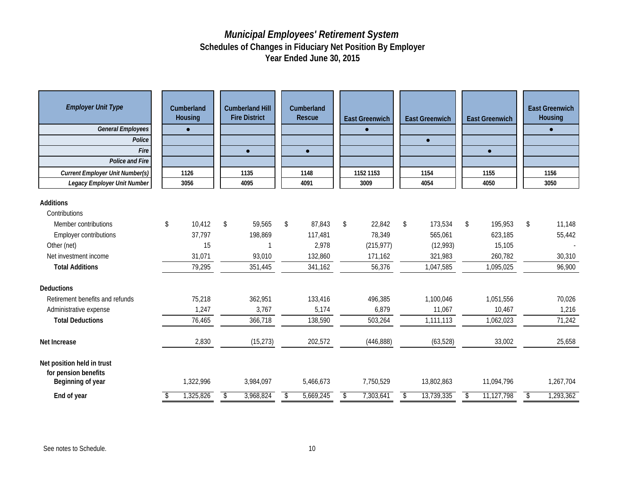| <b>Employer Unit Type</b><br><b>General Employees</b><br>Police<br>Fire<br>Police and Fire<br><b>Current Employer Unit Number(s)</b><br>Legacy Employer Unit Number |    | Cumberland<br><b>Housing</b><br>$\bullet$<br>1126<br>3056 | <b>Cumberland Hill</b><br><b>Fire District</b><br>$\bullet$<br>1135<br>4095 | Cumberland<br><b>Rescue</b><br>$\bullet$<br>1148<br>4091 | <b>East Greenwich</b><br>$\bullet$<br>1152 1153<br>3009 |    | <b>East Greenwich</b><br>$\bullet$<br>1154<br>4054 | <b>East Greenwich</b><br>$\bullet$<br>1155<br>4050 | <b>East Greenwich</b><br>Housing<br>$\bullet$<br>1156<br>3050 |
|---------------------------------------------------------------------------------------------------------------------------------------------------------------------|----|-----------------------------------------------------------|-----------------------------------------------------------------------------|----------------------------------------------------------|---------------------------------------------------------|----|----------------------------------------------------|----------------------------------------------------|---------------------------------------------------------------|
| <b>Additions</b>                                                                                                                                                    |    |                                                           |                                                                             |                                                          |                                                         |    |                                                    |                                                    |                                                               |
| Contributions                                                                                                                                                       |    |                                                           |                                                                             |                                                          |                                                         |    |                                                    |                                                    |                                                               |
| Member contributions                                                                                                                                                | \$ | 10,412                                                    | \$<br>59,565                                                                | \$<br>87,843                                             | \$<br>22,842                                            | \$ | 173,534                                            | \$<br>195,953                                      | \$<br>11,148                                                  |
| <b>Employer contributions</b>                                                                                                                                       |    | 37,797                                                    | 198,869                                                                     | 117,481                                                  | 78,349                                                  |    | 565,061                                            | 623,185                                            | 55,442                                                        |
| Other (net)                                                                                                                                                         |    | 15                                                        |                                                                             | 2,978                                                    | (215, 977)                                              |    | (12,993)                                           | 15,105                                             |                                                               |
| Net investment income                                                                                                                                               |    | 31,071                                                    | 93,010                                                                      | 132,860                                                  | 171,162                                                 |    | 321,983                                            | 260,782                                            | 30,310                                                        |
| <b>Total Additions</b>                                                                                                                                              |    | 79,295                                                    | 351,445                                                                     | 341,162                                                  | 56,376                                                  |    | 1,047,585                                          | 1,095,025                                          | 96,900                                                        |
| <b>Deductions</b>                                                                                                                                                   |    |                                                           |                                                                             |                                                          |                                                         |    |                                                    |                                                    |                                                               |
| Retirement benefits and refunds                                                                                                                                     |    | 75,218                                                    | 362,951                                                                     | 133,416                                                  | 496,385                                                 |    | 1,100,046                                          | 1,051,556                                          | 70,026                                                        |
| Administrative expense                                                                                                                                              |    | 1,247                                                     | 3,767                                                                       | 5,174                                                    | 6,879                                                   |    | 11,067                                             | 10,467                                             | 1,216                                                         |
| <b>Total Deductions</b>                                                                                                                                             |    | 76,465                                                    | 366,718                                                                     | 138,590                                                  | 503,264                                                 |    | 1,111,113                                          | 1,062,023                                          | 71,242                                                        |
| Net Increase                                                                                                                                                        |    | 2,830                                                     | (15, 273)                                                                   | 202,572                                                  | (446, 888)                                              |    | (63, 528)                                          | 33,002                                             | 25,658                                                        |
| Net position held in trust<br>for pension benefits<br>Beginning of year                                                                                             |    | 1,322,996                                                 | 3,984,097                                                                   | 5,466,673                                                | 7,750,529                                               |    | 13,802,863                                         | 11,094,796                                         | 1,267,704                                                     |
| End of year                                                                                                                                                         | S. | 1,325,826                                                 | \$<br>3,968,824                                                             | \$<br>5,669,245                                          | \$<br>7,303,641                                         | s. | 13,739,335                                         | \$<br>11,127,798                                   | \$<br>1,293,362                                               |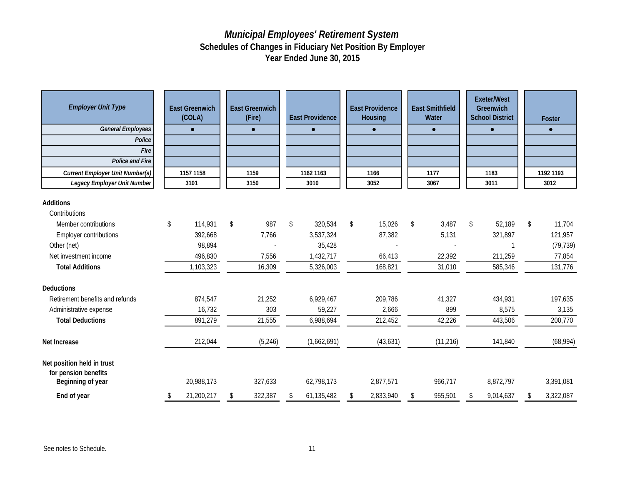| <b>Employer Unit Type</b><br><b>General Employees</b><br>Police<br>Fire<br>Police and Fire<br><b>Current Employer Unit Number(s)</b><br>Legacy Employer Unit Number | <b>East Greenwich</b><br>(COLA)<br>$\bullet$<br>1157 1158<br>3101 | <b>East Greenwich</b><br>(Fire)<br>$\bullet$<br>1159<br>3150 | <b>East Providence</b><br>$\bullet$<br>1162 1163<br>3010 | <b>East Providence</b><br>Housing<br>$\bullet$<br>1166<br>3052 | <b>East Smithfield</b><br>Water<br>$\bullet$<br>1177<br>3067 | <b>Exeter/West</b><br>Greenwich<br><b>School District</b><br>$\bullet$<br>1183<br>3011 | Foster<br>$\bullet$<br>1192 1193<br>3012 |
|---------------------------------------------------------------------------------------------------------------------------------------------------------------------|-------------------------------------------------------------------|--------------------------------------------------------------|----------------------------------------------------------|----------------------------------------------------------------|--------------------------------------------------------------|----------------------------------------------------------------------------------------|------------------------------------------|
|                                                                                                                                                                     |                                                                   |                                                              |                                                          |                                                                |                                                              |                                                                                        |                                          |
| Additions<br>Contributions                                                                                                                                          |                                                                   |                                                              |                                                          |                                                                |                                                              |                                                                                        |                                          |
| Member contributions                                                                                                                                                | 114,931<br>\$                                                     | 987<br>\$                                                    | 320,534<br>\$                                            | \$<br>15,026                                                   | \$<br>3,487                                                  | 52,189<br>\$                                                                           | \$<br>11,704                             |
| <b>Employer contributions</b>                                                                                                                                       | 392,668                                                           | 7,766                                                        | 3,537,324                                                | 87,382                                                         | 5,131                                                        | 321,897                                                                                | 121,957                                  |
| Other (net)                                                                                                                                                         | 98,894                                                            |                                                              | 35,428                                                   |                                                                |                                                              |                                                                                        | (79, 739)                                |
| Net investment income                                                                                                                                               | 496,830                                                           | 7,556                                                        | 1,432,717                                                | 66,413                                                         | 22,392                                                       | 211,259                                                                                | 77,854                                   |
| <b>Total Additions</b>                                                                                                                                              | 1,103,323                                                         | 16,309                                                       | 5,326,003                                                | 168,821                                                        | 31,010                                                       | 585,346                                                                                | 131,776                                  |
| Deductions                                                                                                                                                          |                                                                   |                                                              |                                                          |                                                                |                                                              |                                                                                        |                                          |
| Retirement benefits and refunds                                                                                                                                     | 874,547                                                           | 21,252                                                       | 6,929,467                                                | 209,786                                                        | 41,327                                                       | 434,931                                                                                | 197,635                                  |
| Administrative expense                                                                                                                                              | 16,732                                                            | 303                                                          | 59,227                                                   | 2,666                                                          | 899                                                          | 8,575                                                                                  | 3,135                                    |
| <b>Total Deductions</b>                                                                                                                                             | 891,279                                                           | 21,555                                                       | 6,988,694                                                | 212,452                                                        | 42,226                                                       | 443,506                                                                                | 200,770                                  |
| Net Increase                                                                                                                                                        | 212,044                                                           | (5, 246)                                                     | (1,662,691)                                              | (43, 631)                                                      | (11, 216)                                                    | 141,840                                                                                | (68,994)                                 |
| Net position held in trust<br>for pension benefits<br>Beginning of year                                                                                             | 20,988,173                                                        | 327,633                                                      | 62,798,173                                               | 2,877,571                                                      | 966,717                                                      | 8,872,797                                                                              | 3,391,081                                |
| End of year                                                                                                                                                         | 21,200,217<br>S                                                   | 322,387<br>\$                                                | 61,135,482<br>\$                                         | 2,833,940<br>\$                                                | 955,501<br>\$                                                | 9,014,637<br>\$                                                                        | 3,322,087<br>\$                          |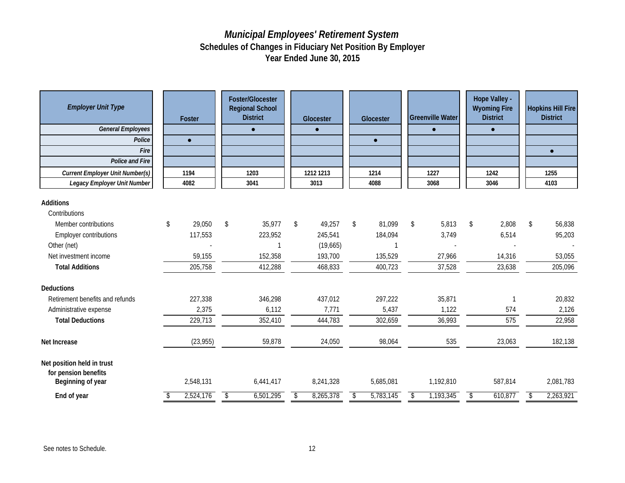| <b>Employer Unit Type</b>                                               |    | Foster       | <b>Foster/Glocester</b><br><b>Regional School</b><br><b>District</b> |    | Glocester         |    | <b>Glocester</b> | <b>Greenville Water</b> | Hope Valley -<br><b>Wyoming Fire</b><br><b>District</b> | <b>Hopkins Hill Fire</b><br><b>District</b> |
|-------------------------------------------------------------------------|----|--------------|----------------------------------------------------------------------|----|-------------------|----|------------------|-------------------------|---------------------------------------------------------|---------------------------------------------|
| <b>General Employees</b>                                                |    |              | $\bullet$                                                            |    | $\bullet$         |    |                  | $\bullet$               | $\bullet$                                               |                                             |
| Police                                                                  |    | $\bullet$    |                                                                      |    |                   |    | $\bullet$        |                         |                                                         |                                             |
| Fire<br><b>Police and Fire</b>                                          |    |              |                                                                      |    |                   |    |                  |                         |                                                         | $\bullet$                                   |
|                                                                         |    |              |                                                                      |    |                   |    |                  |                         |                                                         |                                             |
| <b>Current Employer Unit Number(s)</b><br>Legacy Employer Unit Number   |    | 1194<br>4082 | 1203<br>3041                                                         |    | 1212 1213<br>3013 |    | 1214<br>4088     | 1227<br>3068            | 1242<br>3046                                            | 1255<br>4103                                |
|                                                                         |    |              |                                                                      |    |                   |    |                  |                         |                                                         |                                             |
| <b>Additions</b>                                                        |    |              |                                                                      |    |                   |    |                  |                         |                                                         |                                             |
| Contributions                                                           |    |              |                                                                      |    |                   |    |                  |                         |                                                         |                                             |
| Member contributions                                                    | \$ | 29,050       | \$<br>35,977                                                         | \$ | 49,257            | \$ | 81,099           | \$<br>5,813             | \$<br>2,808                                             | \$<br>56,838                                |
| <b>Employer contributions</b>                                           |    | 117,553      | 223,952                                                              |    | 245,541           |    | 184,094          | 3,749                   | 6,514                                                   | 95,203                                      |
| Other (net)                                                             |    |              |                                                                      |    | (19,665)          |    |                  |                         |                                                         |                                             |
| Net investment income                                                   |    | 59,155       | 152,358                                                              |    | 193,700           |    | 135,529          | 27,966                  | 14,316                                                  | 53,055                                      |
| <b>Total Additions</b>                                                  |    | 205,758      | 412,288                                                              |    | 468,833           |    | 400,723          | 37,528                  | 23,638                                                  | 205,096                                     |
|                                                                         |    |              |                                                                      |    |                   |    |                  |                         |                                                         |                                             |
| <b>Deductions</b>                                                       |    |              |                                                                      |    |                   |    |                  |                         |                                                         |                                             |
| Retirement benefits and refunds                                         |    | 227,338      | 346,298                                                              |    | 437,012           |    | 297,222          | 35,871                  | $\mathbf{1}$                                            | 20,832                                      |
| Administrative expense                                                  |    | 2,375        | 6,112                                                                |    | 7,771             |    | 5,437            | 1,122                   | 574                                                     | 2,126                                       |
| <b>Total Deductions</b>                                                 |    | 229,713      | 352,410                                                              |    | 444,783           |    | 302,659          | 36,993                  | 575                                                     | 22,958                                      |
|                                                                         |    |              |                                                                      |    |                   |    |                  |                         |                                                         |                                             |
| <b>Net Increase</b>                                                     |    | (23, 955)    | 59,878                                                               |    | 24,050            |    | 98,064           | 535                     | 23,063                                                  | 182,138                                     |
| Net position held in trust<br>for pension benefits<br>Beginning of year |    | 2,548,131    | 6,441,417                                                            |    | 8,241,328         |    | 5,685,081        | 1,192,810               | 587,814                                                 | 2,081,783                                   |
| End of year                                                             | S. | 2,524,176    | \$<br>6,501,295                                                      | S. | 8,265,378         | S. | 5,783,145        | \$<br>1,193,345         | \$<br>610,877                                           | \$<br>2,263,921                             |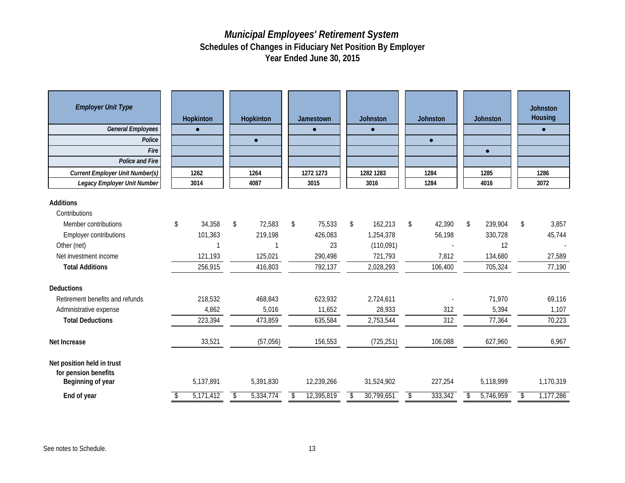| <b>Employer Unit Type</b>                                               | Hopkinton       | Hopkinton       | Jamestown        | Johnston         | <b>Johnston</b> | <b>Johnston</b> | <b>Johnston</b><br>Housing |
|-------------------------------------------------------------------------|-----------------|-----------------|------------------|------------------|-----------------|-----------------|----------------------------|
| <b>General Employees</b>                                                | $\bullet$       |                 | $\bullet$        | $\bullet$        |                 |                 | $\bullet$                  |
| Police                                                                  |                 | $\bullet$       |                  |                  | $\bullet$       |                 |                            |
| Fire                                                                    |                 |                 |                  |                  |                 | $\bullet$       |                            |
| <b>Police and Fire</b>                                                  |                 |                 |                  |                  |                 |                 |                            |
| <b>Current Employer Unit Number(s)</b>                                  | 1262            | 1264            | 1272 1273        | 1282 1283        | 1284            | 1285            | 1286                       |
| Legacy Employer Unit Number                                             | 3014            | 4087            | 3015             | 3016             | 1284            | 4016            | 3072                       |
| <b>Additions</b>                                                        |                 |                 |                  |                  |                 |                 |                            |
| Contributions                                                           |                 |                 |                  |                  |                 |                 |                            |
| Member contributions                                                    | 34,358<br>\$    | 72,583<br>\$    | \$<br>75,533     | \$<br>162,213    | \$<br>42,390    | \$<br>239,904   | 3,857<br>\$                |
| <b>Employer contributions</b>                                           | 101,363         | 219,198         | 426,083          | 1,254,378        | 56,198          | 330,728         | 45,744                     |
| Other (net)                                                             |                 |                 | 23               | (110,091)        |                 | 12              |                            |
| Net investment income                                                   | 121,193         | 125,021         | 290,498          | 721,793          | 7,812           | 134,680         | 27,589                     |
| <b>Total Additions</b>                                                  | 256,915         | 416,803         | 792,137          | 2,028,293        | 106,400         | 705,324         | 77,190                     |
| Deductions                                                              |                 |                 |                  |                  |                 |                 |                            |
| Retirement benefits and refunds                                         | 218,532         | 468,843         | 623,932          | 2,724,611        |                 | 71,970          | 69,116                     |
| Administrative expense                                                  | 4,862           | 5,016           | 11,652           | 28,933           | 312             | 5,394           | 1,107                      |
| <b>Total Deductions</b>                                                 | 223,394         | 473,859         | 635,584          | 2,753,544        | 312             | 77,364          | 70,223                     |
| Net Increase                                                            | 33,521          | (57,056)        | 156,553          | (725, 251)       | 106,088         | 627,960         | 6,967                      |
| Net position held in trust<br>for pension benefits<br>Beginning of year | 5,137,891       | 5,391,830       | 12,239,266       | 31,524,902       | 227,254         | 5,118,999       | 1,170,319                  |
| End of year                                                             | 5,171,412<br>S. | 5,334,774<br>\$ | 12,395,819<br>\$ | 30,799,651<br>\$ | 333,342<br>\$   | 5,746,959<br>s. | 1,177,286<br>S.            |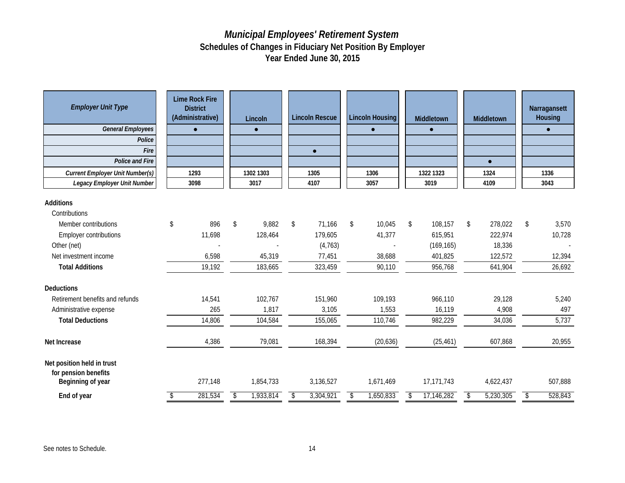| <b>Employer Unit Type</b><br><b>General Employees</b><br>Police<br>Fire<br><b>Police and Fire</b><br><b>Current Employer Unit Number(s)</b><br>Legacy Employer Unit Number | <b>Lime Rock Fire</b><br><b>District</b><br>(Administrative)<br>$\bullet$<br>1293<br>3098 | Lincoln<br>$\bullet$<br>1302 1303<br>3017 | <b>Lincoln Rescue</b><br>$\bullet$<br>1305<br>4107 | <b>Lincoln Housing</b><br>$\bullet$<br>1306<br>3057 | Middletown<br>$\bullet$<br>1322 1323<br>3019 | <b>Middletown</b><br>$\bullet$<br>1324<br>4109 | Narragansett<br>Housing<br>$\bullet$<br>1336<br>3043 |
|----------------------------------------------------------------------------------------------------------------------------------------------------------------------------|-------------------------------------------------------------------------------------------|-------------------------------------------|----------------------------------------------------|-----------------------------------------------------|----------------------------------------------|------------------------------------------------|------------------------------------------------------|
| <b>Additions</b>                                                                                                                                                           |                                                                                           |                                           |                                                    |                                                     |                                              |                                                |                                                      |
| Contributions                                                                                                                                                              |                                                                                           |                                           |                                                    |                                                     |                                              |                                                |                                                      |
| Member contributions                                                                                                                                                       | 896<br>\$                                                                                 | 9,882<br>\$                               | \$<br>71,166                                       | \$<br>10,045                                        | \$<br>108,157                                | \$<br>278,022                                  | \$<br>3,570                                          |
| <b>Employer contributions</b>                                                                                                                                              | 11,698                                                                                    | 128,464                                   | 179,605                                            | 41,377                                              | 615,951                                      | 222,974                                        | 10,728                                               |
| Other (net)                                                                                                                                                                |                                                                                           |                                           | (4, 763)                                           | $\sim$                                              | (169, 165)                                   | 18,336                                         |                                                      |
| Net investment income                                                                                                                                                      | 6,598                                                                                     | 45,319                                    | 77,451                                             | 38,688                                              | 401,825                                      | 122,572                                        | 12,394                                               |
| <b>Total Additions</b>                                                                                                                                                     | 19,192                                                                                    | 183,665                                   | 323,459                                            | 90,110                                              | 956,768                                      | 641,904                                        | 26,692                                               |
| <b>Deductions</b>                                                                                                                                                          |                                                                                           |                                           |                                                    |                                                     |                                              |                                                |                                                      |
| Retirement benefits and refunds                                                                                                                                            | 14,541                                                                                    | 102,767                                   | 151,960                                            | 109,193                                             | 966,110                                      | 29,128                                         | 5,240                                                |
| Administrative expense                                                                                                                                                     | 265                                                                                       | 1,817                                     | 3,105                                              | 1,553                                               | 16,119                                       | 4,908                                          | 497                                                  |
| <b>Total Deductions</b>                                                                                                                                                    | 14,806                                                                                    | 104,584                                   | 155,065                                            | 110,746                                             | 982,229                                      | 34,036                                         | 5,737                                                |
| Net Increase                                                                                                                                                               | 4,386                                                                                     | 79,081                                    | 168,394                                            | (20, 636)                                           | (25, 461)                                    | 607,868                                        | 20,955                                               |
| Net position held in trust<br>for pension benefits<br>Beginning of year                                                                                                    | 277,148                                                                                   | 1,854,733                                 | 3,136,527                                          | 1,671,469                                           | 17,171,743                                   | 4,622,437                                      | 507,888                                              |
| End of year                                                                                                                                                                | 281,534<br>\$                                                                             | 1,933,814<br>\$                           | 3,304,921<br>\$                                    | 1,650,833<br>\$                                     | 17,146,282<br>-\$                            | 5,230,305<br>\$                                | 528,843<br>\$                                        |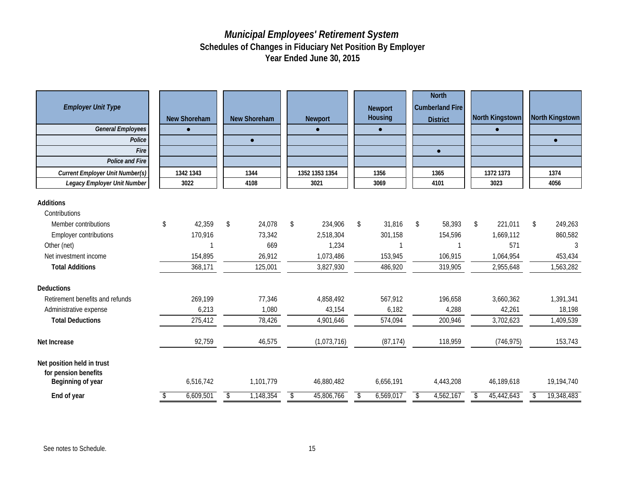| <b>Employer Unit Type</b>                                               |    | <b>New Shoreham</b> | <b>New Shoreham</b> | <b>Newport</b>   | <b>Newport</b><br>Housing | <b>North</b><br><b>Cumberland Fire</b><br><b>District</b> |     | North Kingstown | <b>North Kingstown</b> |
|-------------------------------------------------------------------------|----|---------------------|---------------------|------------------|---------------------------|-----------------------------------------------------------|-----|-----------------|------------------------|
| <b>General Employees</b>                                                |    | $\bullet$           |                     |                  | $\bullet$                 |                                                           |     | $\bullet$       |                        |
| Police                                                                  |    |                     | $\bullet$           |                  |                           |                                                           |     |                 | $\bullet$              |
| Fire                                                                    |    |                     |                     |                  |                           | $\bullet$                                                 |     |                 |                        |
| <b>Police and Fire</b>                                                  |    |                     |                     |                  |                           |                                                           |     |                 |                        |
| <b>Current Employer Unit Number(s)</b>                                  |    | 1342 1343           | 1344                | 1352 1353 1354   | 1356                      | 1365                                                      |     | 1372 1373       | 1374                   |
| Legacy Employer Unit Number                                             |    | 3022                | 4108                | 3021             | 3069                      | 4101                                                      |     | 3023            | 4056                   |
| <b>Additions</b>                                                        |    |                     |                     |                  |                           |                                                           |     |                 |                        |
| Contributions                                                           |    |                     |                     |                  |                           |                                                           |     |                 |                        |
| Member contributions                                                    | \$ | 42,359              | \$<br>24,078        | \$<br>234,906    | \$<br>31,816              | \$<br>58,393                                              | \$  | 221,011         | \$<br>249,263          |
| <b>Employer contributions</b>                                           |    | 170,916             | 73,342              | 2,518,304        | 301,158                   | 154,596                                                   |     | 1,669,112       | 860,582                |
| Other (net)                                                             |    |                     | 669                 | 1,234            |                           |                                                           |     | 571             | 3                      |
| Net investment income                                                   |    | 154,895             | 26,912              | 1,073,486        | 153,945                   | 106,915                                                   |     | 1,064,954       | 453,434                |
| <b>Total Additions</b>                                                  |    | 368,171             | 125,001             | 3,827,930        | 486,920                   | 319,905                                                   |     | 2,955,648       | 1,563,282              |
| Deductions                                                              |    |                     |                     |                  |                           |                                                           |     |                 |                        |
| Retirement benefits and refunds                                         |    | 269,199             | 77,346              | 4,858,492        | 567,912                   | 196,658                                                   |     | 3,660,362       | 1,391,341              |
| Administrative expense                                                  |    | 6,213               | 1,080               | 43,154           | 6,182                     | 4,288                                                     |     | 42,261          | 18,198                 |
| <b>Total Deductions</b>                                                 |    | 275,412             | 78,426              | 4,901,646        | 574,094                   | 200,946                                                   |     | 3,702,623       | 1,409,539              |
| Net Increase                                                            |    | 92,759              | 46,575              | (1,073,716)      | (87, 174)                 | 118,959                                                   |     | (746, 975)      | 153,743                |
| Net position held in trust<br>for pension benefits<br>Beginning of year |    | 6,516,742           | 1,101,779           | 46,880,482       | 6,656,191                 | 4,443,208                                                 |     | 46,189,618      | 19,194,740             |
| End of year                                                             | S. | 6,609,501           | \$<br>1,148,354     | \$<br>45,806,766 | \$<br>6,569,017           | \$<br>4,562,167                                           | -\$ | 45,442,643      | \$<br>19,348,483       |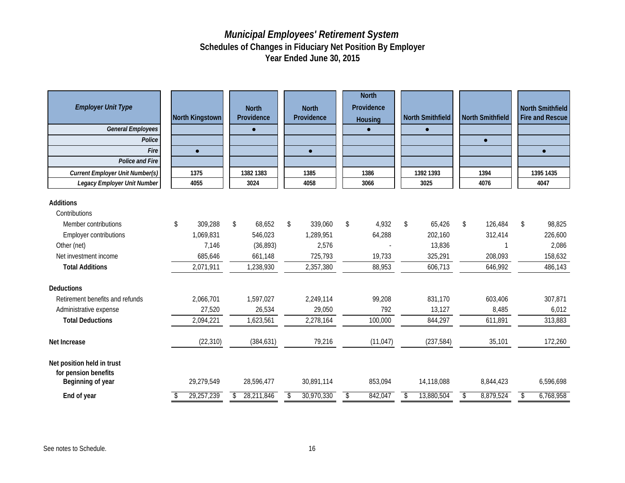| <b>Employer Unit Type</b><br><b>General Employees</b><br>Police<br>Fire<br><b>Police and Fire</b> | North Kingstown<br>$\bullet$ | <b>North</b><br>Providence<br>$\bullet$ | <b>North</b><br>Providence<br>$\bullet$ | <b>North</b><br>Providence<br>Housing<br>$\bullet$ | <b>North Smithfield</b><br>$\bullet$ | <b>North Smithfield</b><br>$\bullet$ | North Smithfield<br><b>Fire and Rescue</b><br>$\bullet$ |
|---------------------------------------------------------------------------------------------------|------------------------------|-----------------------------------------|-----------------------------------------|----------------------------------------------------|--------------------------------------|--------------------------------------|---------------------------------------------------------|
| <b>Current Employer Unit Number(s)</b><br>Legacy Employer Unit Number                             | 1375<br>4055                 | 1382 1383<br>3024                       | 1385<br>4058                            | 1386<br>3066                                       | 1392 1393<br>3025                    | 1394<br>4076                         | 1395 1435<br>4047                                       |
| <b>Additions</b><br>Contributions                                                                 |                              |                                         |                                         |                                                    |                                      |                                      |                                                         |
| Member contributions                                                                              | 309,288<br>\$                | 68,652<br>\$                            | 339,060<br>\$                           | 4,932<br>\$                                        | 65,426<br>\$                         | \$<br>126,484                        | \$<br>98,825                                            |
| Employer contributions                                                                            | 1,069,831                    | 546,023                                 | 1,289,951                               | 64,288                                             | 202,160                              | 312,414                              | 226,600                                                 |
| Other (net)                                                                                       | 7,146                        | (36, 893)                               | 2,576                                   |                                                    | 13,836                               |                                      | 2,086                                                   |
| Net investment income                                                                             | 685,646                      | 661,148                                 | 725,793                                 | 19,733                                             | 325,291                              | 208,093                              | 158,632                                                 |
| <b>Total Additions</b>                                                                            | 2,071,911                    | 1,238,930                               | 2,357,380                               | 88,953                                             | 606,713                              | 646,992                              | 486,143                                                 |
| Deductions                                                                                        |                              |                                         |                                         |                                                    |                                      |                                      |                                                         |
| Retirement benefits and refunds                                                                   | 2,066,701                    | 1,597,027                               | 2,249,114                               | 99,208                                             | 831,170                              | 603,406                              | 307,871                                                 |
| Administrative expense                                                                            | 27,520                       | 26,534                                  | 29,050                                  | 792                                                | 13,127                               | 8,485                                | 6,012                                                   |
| <b>Total Deductions</b>                                                                           | 2,094,221                    | 1,623,561                               | 2,278,164                               | 100,000                                            | 844,297                              | 611,891                              | 313,883                                                 |
| Net Increase                                                                                      | (22, 310)                    | (384, 631)                              | 79,216                                  | (11, 047)                                          | (237, 584)                           | 35,101                               | 172,260                                                 |
| Net position held in trust<br>for pension benefits<br>Beginning of year                           | 29,279,549                   | 28,596,477                              | 30,891,114                              | 853,094                                            | 14,118,088                           | 8,844,423                            | 6,596,698                                               |
| End of year                                                                                       | 29,257,239                   | 28,211,846                              | 30,970,330<br>S                         | 842,047<br>\$                                      | 13,880,504<br>\$                     | 8,879,524<br>\$                      | 6,768,958<br>\$                                         |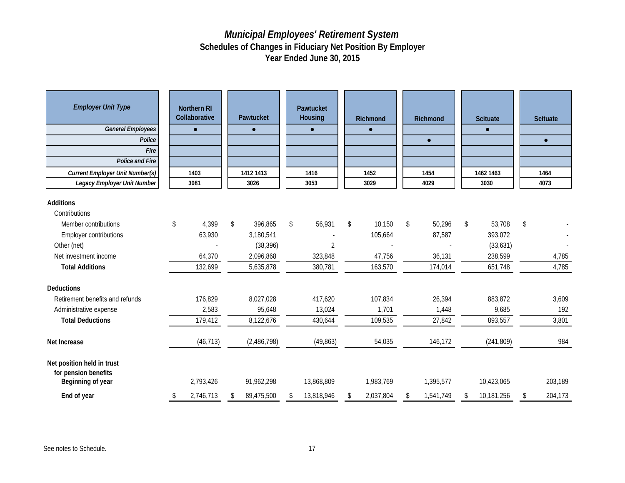| <b>Employer Unit Type</b>                                               | <b>Northern RI</b><br>Collaborative | Pawtucket         | Pawtucket<br>Housing | Richmond        | Richmond        | <b>Scituate</b>   | <b>Scituate</b>                |
|-------------------------------------------------------------------------|-------------------------------------|-------------------|----------------------|-----------------|-----------------|-------------------|--------------------------------|
| <b>General Employees</b>                                                | $\bullet$                           | $\bullet$         | $\bullet$            | $\bullet$       |                 | $\bullet$         |                                |
| Police                                                                  |                                     |                   |                      |                 | $\bullet$       |                   | $\bullet$                      |
| Fire<br><b>Police and Fire</b>                                          |                                     |                   |                      |                 |                 |                   |                                |
|                                                                         |                                     |                   |                      |                 |                 |                   |                                |
| <b>Current Employer Unit Number(s)</b><br>Legacy Employer Unit Number   | 1403<br>3081                        | 1412 1413<br>3026 | 1416<br>3053         | 1452<br>3029    | 1454<br>4029    | 1462 1463<br>3030 | 1464<br>4073                   |
|                                                                         |                                     |                   |                      |                 |                 |                   |                                |
| <b>Additions</b>                                                        |                                     |                   |                      |                 |                 |                   |                                |
| Contributions                                                           |                                     |                   |                      |                 |                 |                   |                                |
| Member contributions                                                    | 4,399<br>\$                         | \$<br>396,865     | 56,931<br>\$         | 10,150<br>\$    | \$<br>50,296    | \$<br>53,708      | \$                             |
| <b>Employer contributions</b>                                           | 63,930                              | 3,180,541         |                      | 105,664         | 87,587          | 393,072           |                                |
| Other (net)                                                             |                                     | (38, 396)         | $\overline{2}$       |                 |                 | (33, 631)         | $\sim$                         |
| Net investment income                                                   | 64,370                              | 2,096,868         | 323,848              | 47,756          | 36,131          | 238,599           | 4,785                          |
| <b>Total Additions</b>                                                  | 132,699                             | 5,635,878         | 380,781              | 163,570         | 174,014         | 651,748           | 4,785                          |
| <b>Deductions</b>                                                       |                                     |                   |                      |                 |                 |                   |                                |
| Retirement benefits and refunds                                         | 176,829                             | 8,027,028         | 417,620              | 107,834         | 26,394          | 883,872           | 3,609                          |
| Administrative expense                                                  | 2,583                               | 95,648            | 13,024               | 1,701           | 1,448           | 9,685             | 192                            |
| <b>Total Deductions</b>                                                 | 179,412                             | 8,122,676         | 430,644              | 109,535         | 27,842          | 893,557           | 3,801                          |
| Net Increase                                                            | (46, 713)                           | (2,486,798)       | (49, 863)            | 54,035          | 146,172         | (241, 809)        | 984                            |
| Net position held in trust<br>for pension benefits<br>Beginning of year | 2,793,426                           | 91,962,298        | 13,868,809           | 1,983,769       | 1,395,577       | 10,423,065        | 203,189                        |
| End of year                                                             | 2,746,713                           | 89,475,500<br>S   | 13,818,946<br>\$     | 2,037,804<br>\$ | 1,541,749<br>\$ | 10,181,256        | 204,173<br>$\boldsymbol{\phi}$ |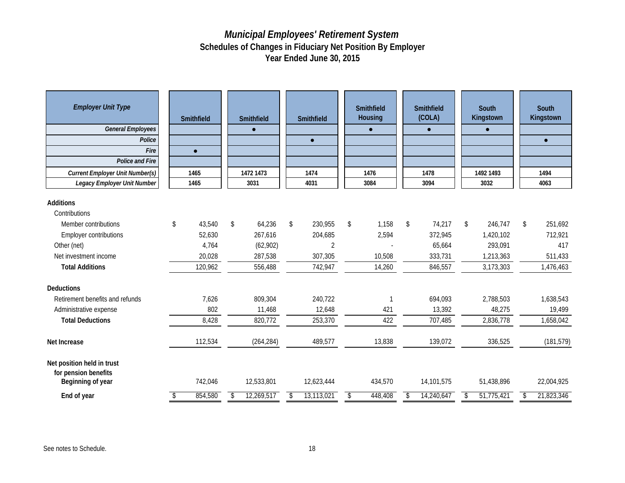| <b>Employer Unit Type</b>                                               | Smithfield    | Smithfield                  | Smithfield       | Smithfield<br>Housing | Smithfield<br>(COLA) | <b>South</b><br>Kingstown | South<br>Kingstown |
|-------------------------------------------------------------------------|---------------|-----------------------------|------------------|-----------------------|----------------------|---------------------------|--------------------|
| <b>General Employees</b>                                                |               | $\bullet$                   |                  | $\bullet$             | $\bullet$            |                           |                    |
| Police                                                                  |               |                             | $\bullet$        |                       |                      |                           | $\bullet$          |
| Fire                                                                    | $\bullet$     |                             |                  |                       |                      |                           |                    |
| <b>Police and Fire</b>                                                  |               |                             |                  |                       |                      |                           |                    |
| <b>Current Employer Unit Number(s)</b>                                  | 1465          | 1472 1473                   | 1474             | 1476                  | 1478                 | 1492 1493                 | 1494               |
| Legacy Employer Unit Number                                             | 1465          | 3031                        | 4031             | 3084                  | 3094                 | 3032                      | 4063               |
| <b>Additions</b>                                                        |               |                             |                  |                       |                      |                           |                    |
| Contributions                                                           |               |                             |                  |                       |                      |                           |                    |
| Member contributions                                                    | 43,540<br>\$  | \$<br>64,236                | \$<br>230,955    | \$<br>1,158           | \$<br>74,217         | 246,747<br>\$             | 251,692<br>\$      |
| <b>Employer contributions</b>                                           | 52,630        | 267,616                     | 204,685          | 2,594                 | 372,945              | 1,420,102                 | 712,921            |
| Other (net)                                                             | 4,764         | (62,902)                    | 2                |                       | 65,664               | 293,091                   | 417                |
| Net investment income                                                   | 20,028        | 287,538                     | 307,305          | 10,508                | 333,731              | 1,213,363                 | 511,433            |
| <b>Total Additions</b>                                                  | 120,962       | 556,488                     | 742,947          | 14,260                | 846,557              | 3,173,303                 | 1,476,463          |
| <b>Deductions</b>                                                       |               |                             |                  |                       |                      |                           |                    |
| Retirement benefits and refunds                                         | 7,626         | 809,304                     | 240,722          | $\mathbf 1$           | 694,093              | 2,788,503                 | 1,638,543          |
| Administrative expense                                                  | 802           | 11,468                      | 12,648           | 421                   | 13,392               | 48,275                    | 19,499             |
| <b>Total Deductions</b>                                                 | 8,428         | 820,772                     | 253,370          | 422                   | 707,485              | 2,836,778                 | 1,658,042          |
| Net Increase                                                            | 112,534       | (264, 284)                  | 489,577          | 13,838                | 139,072              | 336,525                   | (181, 579)         |
| Net position held in trust<br>for pension benefits<br>Beginning of year | 742,046       | 12,533,801                  | 12,623,444       | 434,570               | 14,101,575           | 51,438,896                | 22,004,925         |
| End of year                                                             | 854,580<br>S. | 12,269,517<br><sup>\$</sup> | 13,113,021<br>S. | 448,408<br>\$         | 14,240,647<br>S.     | 51,775,421<br>\$          | 21,823,346<br>S.   |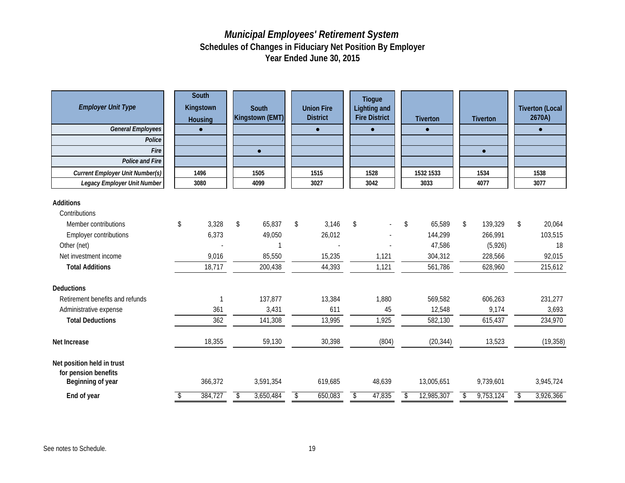| <b>Employer Unit Type</b><br><b>General Employees</b><br>Police<br>Fire<br>Police and Fire<br><b>Current Employer Unit Number(s)</b><br>Legacy Employer Unit Number |    | South<br>Kingstown<br>Housing<br>$\bullet$<br>1496<br>3080 | South<br>Kingstown (EMT)<br>$\bullet$<br>1505<br>4099 | <b>Union Fire</b><br><b>District</b><br>$\bullet$<br>1515<br>3027 | <b>Tiogue</b><br><b>Lighting and</b><br><b>Fire District</b><br>$\bullet$<br>1528<br>3042 |    | <b>Tiverton</b><br>$\bullet$<br>1532 1533<br>3033 |    | <b>Tiverton</b><br>$\bullet$<br>1534<br>4077 | <b>Tiverton (Local</b><br>2670A)<br>$\bullet$<br>1538<br>3077 |
|---------------------------------------------------------------------------------------------------------------------------------------------------------------------|----|------------------------------------------------------------|-------------------------------------------------------|-------------------------------------------------------------------|-------------------------------------------------------------------------------------------|----|---------------------------------------------------|----|----------------------------------------------|---------------------------------------------------------------|
|                                                                                                                                                                     |    |                                                            |                                                       |                                                                   |                                                                                           |    |                                                   |    |                                              |                                                               |
| <b>Additions</b><br>Contributions                                                                                                                                   |    |                                                            |                                                       |                                                                   |                                                                                           |    |                                                   |    |                                              |                                                               |
| Member contributions                                                                                                                                                | \$ | 3,328                                                      | \$<br>65,837                                          | \$<br>3,146                                                       | \$<br>$\omega$                                                                            | \$ | 65,589                                            | \$ | 139,329                                      | \$<br>20,064                                                  |
| <b>Employer contributions</b>                                                                                                                                       |    | 6,373                                                      | 49,050                                                | 26,012                                                            |                                                                                           |    | 144,299                                           |    | 266,991                                      | 103,515                                                       |
| Other (net)                                                                                                                                                         |    |                                                            |                                                       |                                                                   |                                                                                           |    | 47,586                                            |    | (5,926)                                      | 18                                                            |
| Net investment income                                                                                                                                               |    | 9,016                                                      | 85,550                                                | 15,235                                                            | 1,121                                                                                     |    | 304,312                                           |    | 228,566                                      | 92,015                                                        |
| <b>Total Additions</b>                                                                                                                                              |    | 18,717                                                     | 200,438                                               | 44,393                                                            | 1,121                                                                                     |    | 561,786                                           |    | 628,960                                      | 215,612                                                       |
| Deductions                                                                                                                                                          |    |                                                            |                                                       |                                                                   |                                                                                           |    |                                                   |    |                                              |                                                               |
| Retirement benefits and refunds                                                                                                                                     |    | $\mathbf{1}$                                               | 137,877                                               | 13,384                                                            | 1,880                                                                                     |    | 569,582                                           |    | 606,263                                      | 231,277                                                       |
| Administrative expense                                                                                                                                              |    | 361                                                        | 3,431                                                 | 611                                                               | 45                                                                                        |    | 12,548                                            |    | 9,174                                        | 3,693                                                         |
| <b>Total Deductions</b>                                                                                                                                             |    | 362                                                        | 141,308                                               | 13,995                                                            | 1,925                                                                                     |    | 582,130                                           |    | 615,437                                      | 234,970                                                       |
| Net Increase                                                                                                                                                        |    | 18,355                                                     | 59,130                                                | 30,398                                                            | (804)                                                                                     |    | (20, 344)                                         |    | 13,523                                       | (19, 358)                                                     |
| Net position held in trust<br>for pension benefits<br>Beginning of year                                                                                             |    | 366,372                                                    | 3,591,354                                             | 619,685                                                           | 48,639                                                                                    |    | 13,005,651                                        |    | 9,739,601                                    | 3,945,724                                                     |
| End of year                                                                                                                                                         | S. | 384,727                                                    | \$<br>3,650,484                                       | \$<br>650,083                                                     | \$<br>47,835                                                                              | S. | 12,985,307                                        | S. | 9,753,124                                    | \$<br>3,926,366                                               |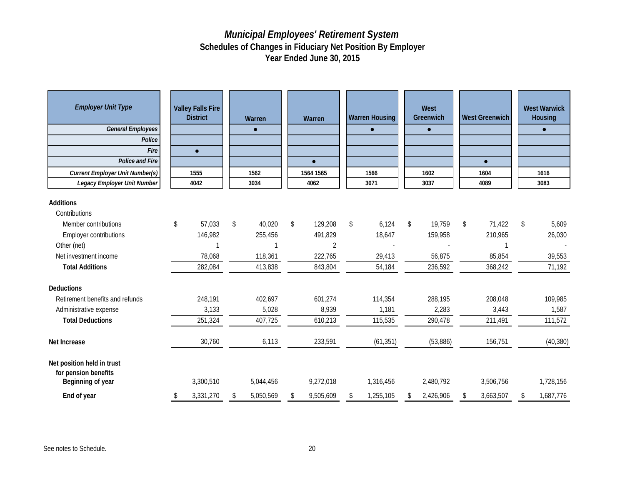| <b>Employer Unit Type</b><br><b>General Employees</b><br>Police<br>Fire<br><b>Police and Fire</b><br><b>Current Employer Unit Number(s)</b><br>Legacy Employer Unit Number | <b>Valley Falls Fire</b><br><b>District</b><br>$\bullet$<br>1555<br>4042 | Warren<br>1562<br>3034 | Warren<br>$\bullet$<br>1564 1565<br>4062 | <b>Warren Housing</b><br>$\bullet$<br>1566<br>3071 | West<br>Greenwich<br>$\bullet$<br>1602<br>3037 | <b>West Greenwich</b><br>$\bullet$<br>1604<br>4089 | <b>West Warwick</b><br>Housing<br>$\bullet$<br>1616<br>3083 |
|----------------------------------------------------------------------------------------------------------------------------------------------------------------------------|--------------------------------------------------------------------------|------------------------|------------------------------------------|----------------------------------------------------|------------------------------------------------|----------------------------------------------------|-------------------------------------------------------------|
|                                                                                                                                                                            |                                                                          |                        |                                          |                                                    |                                                |                                                    |                                                             |
| <b>Additions</b>                                                                                                                                                           |                                                                          |                        |                                          |                                                    |                                                |                                                    |                                                             |
| Contributions                                                                                                                                                              |                                                                          |                        |                                          |                                                    |                                                |                                                    |                                                             |
| Member contributions                                                                                                                                                       | \$<br>57,033                                                             | 40,020<br>\$           | \$<br>129,208                            | \$<br>6,124                                        | \$<br>19,759                                   | \$<br>71,422                                       | \$<br>5,609                                                 |
| <b>Employer contributions</b>                                                                                                                                              | 146,982                                                                  | 255,456                | 491,829                                  | 18,647                                             | 159,958                                        | 210,965                                            | 26,030                                                      |
| Other (net)                                                                                                                                                                |                                                                          |                        |                                          | $\overline{2}$                                     |                                                |                                                    |                                                             |
| Net investment income                                                                                                                                                      | 78,068                                                                   | 118,361                | 222,765                                  | 29,413                                             | 56,875                                         | 85,854                                             | 39,553                                                      |
| <b>Total Additions</b>                                                                                                                                                     | 282,084                                                                  | 413,838                | 843,804                                  | 54,184                                             | 236,592                                        | 368,242                                            | 71,192                                                      |
| Deductions                                                                                                                                                                 |                                                                          |                        |                                          |                                                    |                                                |                                                    |                                                             |
| Retirement benefits and refunds                                                                                                                                            | 248,191                                                                  | 402,697                | 601,274                                  | 114,354                                            | 288,195                                        | 208,048                                            | 109,985                                                     |
| Administrative expense                                                                                                                                                     | 3,133                                                                    | 5,028                  | 8,939                                    | 1,181                                              | 2,283                                          | 3,443                                              | 1,587                                                       |
| <b>Total Deductions</b>                                                                                                                                                    | 251,324                                                                  | 407,725                | 610,213                                  | 115,535                                            | 290,478                                        | 211,491                                            | 111,572                                                     |
| Net Increase                                                                                                                                                               | 30,760                                                                   | 6,113                  | 233,591                                  | (61, 351)                                          | (53,886)                                       | 156,751                                            | (40, 380)                                                   |
| Net position held in trust<br>for pension benefits<br>Beginning of year                                                                                                    | 3,300,510                                                                | 5,044,456              | 9,272,018                                | 1,316,456                                          | 2,480,792                                      | 3,506,756                                          | 1,728,156                                                   |
| End of year                                                                                                                                                                | 3,331,270<br>\$                                                          | 5,050,569<br>\$        | 9,505,609<br>\$                          | 1,255,105<br>\$                                    | 2,426,906<br>\$                                | 3,663,507<br>S.                                    | 1,687,776<br>\$                                             |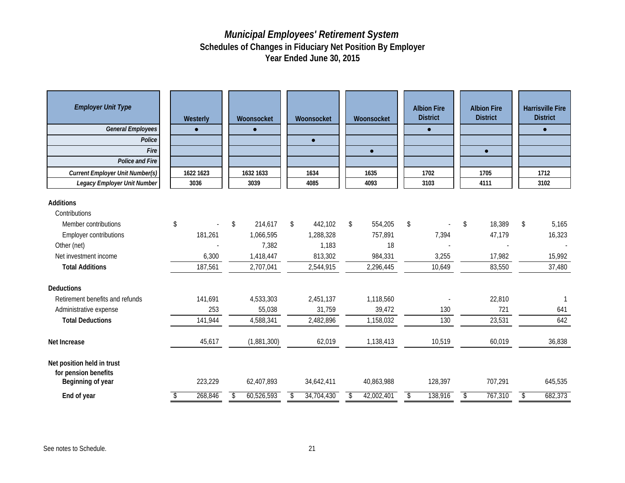| <b>Employer Unit Type</b><br><b>General Employees</b><br>Police<br>Fire<br>Police and Fire<br><b>Current Employer Unit Number(s)</b><br>Legacy Employer Unit Number | Westerly<br>$\bullet$<br>1622 1623<br>3036 | Woonsocket<br>$\bullet$<br>1632 1633<br>3039 | Woonsocket<br>$\bullet$<br>1634<br>4085 | Woonsocket<br>$\bullet$<br>1635<br>4093 | <b>Albion Fire</b><br><b>District</b><br>$\bullet$<br>1702<br>3103 | <b>Albion Fire</b><br><b>District</b><br>$\bullet$<br>1705<br>4111 | <b>Harrisville Fire</b><br><b>District</b><br>$\bullet$<br>1712<br>3102 |
|---------------------------------------------------------------------------------------------------------------------------------------------------------------------|--------------------------------------------|----------------------------------------------|-----------------------------------------|-----------------------------------------|--------------------------------------------------------------------|--------------------------------------------------------------------|-------------------------------------------------------------------------|
| <b>Additions</b>                                                                                                                                                    |                                            |                                              |                                         |                                         |                                                                    |                                                                    |                                                                         |
| Contributions                                                                                                                                                       |                                            |                                              |                                         |                                         |                                                                    |                                                                    |                                                                         |
| Member contributions                                                                                                                                                | \$                                         | \$<br>214,617                                | 442,102<br>\$                           | \$<br>554,205                           | \$<br>L.                                                           | \$<br>18,389                                                       | \$<br>5,165                                                             |
| <b>Employer contributions</b>                                                                                                                                       | 181,261                                    | 1,066,595                                    | 1,288,328                               | 757,891                                 | 7,394                                                              | 47,179                                                             | 16,323                                                                  |
| Other (net)                                                                                                                                                         |                                            | 7,382                                        | 1,183                                   | 18                                      |                                                                    |                                                                    |                                                                         |
| Net investment income                                                                                                                                               | 6,300                                      | 1,418,447                                    | 813,302                                 | 984,331                                 | 3,255                                                              | 17,982                                                             | 15,992                                                                  |
| <b>Total Additions</b>                                                                                                                                              | 187,561                                    | 2,707,041                                    | 2,544,915                               | 2,296,445                               | 10,649                                                             | 83,550                                                             | 37,480                                                                  |
| Deductions                                                                                                                                                          |                                            |                                              |                                         |                                         |                                                                    |                                                                    |                                                                         |
| Retirement benefits and refunds                                                                                                                                     | 141,691                                    | 4,533,303                                    | 2,451,137                               | 1,118,560                               |                                                                    | 22,810                                                             |                                                                         |
| Administrative expense                                                                                                                                              | 253                                        | 55,038                                       | 31,759                                  | 39,472                                  | 130                                                                | 721                                                                | 641                                                                     |
| <b>Total Deductions</b>                                                                                                                                             | 141,944                                    | 4,588,341                                    | 2,482,896                               | 1,158,032                               | 130                                                                | 23,531                                                             | 642                                                                     |
| Net Increase                                                                                                                                                        | 45,617                                     | (1,881,300)                                  | 62,019                                  | 1,138,413                               | 10,519                                                             | 60,019                                                             | 36,838                                                                  |
| Net position held in trust<br>for pension benefits<br>Beginning of year                                                                                             | 223,229                                    | 62,407,893                                   | 34,642,411                              | 40,863,988                              | 128,397                                                            | 707,291                                                            | 645,535                                                                 |
| End of year                                                                                                                                                         | 268,846                                    | 60,526,593<br>s.                             | 34,704,430<br>S.                        | 42,002,401<br>S                         | 138,916<br>S.                                                      | 767,310<br>\$                                                      | 682,373<br>\$                                                           |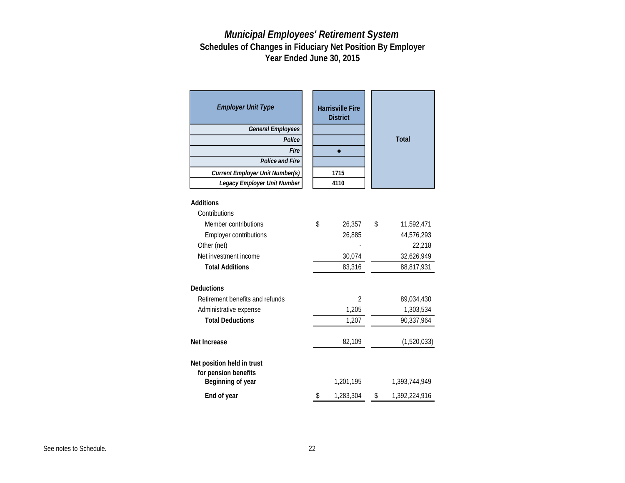| <b>Employer Unit Type</b><br><b>General Employees</b>                   | <b>Harrisville Fire</b><br><b>District</b> |                     |
|-------------------------------------------------------------------------|--------------------------------------------|---------------------|
| Police                                                                  |                                            | <b>Total</b>        |
| Fire                                                                    | $\bullet$                                  |                     |
| <b>Police and Fire</b>                                                  |                                            |                     |
| Current Employer Unit Number(s)                                         | 1715                                       |                     |
| Legacy Employer Unit Number                                             | 4110                                       |                     |
| <b>Additions</b>                                                        |                                            |                     |
| Contributions                                                           |                                            |                     |
| Member contributions                                                    | \$<br>26,357                               | \$<br>11,592,471    |
| <b>Employer contributions</b>                                           | 26,885                                     | 44,576,293          |
| Other (net)                                                             |                                            | 22,218              |
| Net investment income                                                   | 30,074                                     | 32,626,949          |
| <b>Total Additions</b>                                                  | 83,316                                     | 88,817,931          |
| <b>Deductions</b>                                                       |                                            |                     |
| Retirement benefits and refunds                                         | $\overline{2}$                             | 89,034,430          |
| Administrative expense                                                  | 1,205                                      | 1,303,534           |
| <b>Total Deductions</b>                                                 | 1,207                                      | 90,337,964          |
| Net Increase                                                            | 82,109                                     | (1,520,033)         |
| Net position held in trust<br>for pension benefits<br>Beginning of year | 1,201,195                                  | 1,393,744,949       |
| End of year                                                             | \$<br>1,283,304                            | \$<br>1,392,224,916 |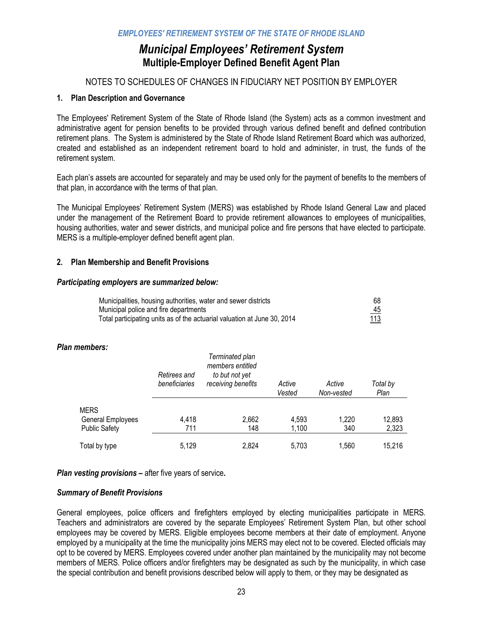# *Municipal Employees' Retirement System*  **Multiple-Employer Defined Benefit Agent Plan**

### NOTES TO SCHEDULES OF CHANGES IN FIDUCIARY NET POSITION BY EMPLOYER

### **1. Plan Description and Governance**

The Employees' Retirement System of the State of Rhode Island (the System) acts as a common investment and administrative agent for pension benefits to be provided through various defined benefit and defined contribution retirement plans. The System is administered by the State of Rhode Island Retirement Board which was authorized, created and established as an independent retirement board to hold and administer, in trust, the funds of the retirement system.

Each plan's assets are accounted for separately and may be used only for the payment of benefits to the members of that plan, in accordance with the terms of that plan.

The Municipal Employees' Retirement System (MERS) was established by Rhode Island General Law and placed under the management of the Retirement Board to provide retirement allowances to employees of municipalities, housing authorities, water and sewer districts, and municipal police and fire persons that have elected to participate. MERS is a multiple-employer defined benefit agent plan.

### **2. Plan Membership and Benefit Provisions**

#### *Participating employers are summarized below:*

| Municipalities, housing authorities, water and sewer districts           | 68           |
|--------------------------------------------------------------------------|--------------|
| Municipal police and fire departments                                    | 45           |
| Total participating units as of the actuarial valuation at June 30, 2014 | <u> 113 </u> |

#### *Plan members:*

|                          | Retirees and<br>beneficiaries | Terminated plan<br>members entitled<br>to but not yet<br>receiving benefits | Active<br>Vested | Active<br>Non-vested | Total by<br>Plan |
|--------------------------|-------------------------------|-----------------------------------------------------------------------------|------------------|----------------------|------------------|
| <b>MERS</b>              |                               |                                                                             |                  |                      |                  |
| <b>General Employees</b> | 4,418                         | 2,662                                                                       | 4,593            | 1,220                | 12,893           |
| <b>Public Safety</b>     | 711                           | 148                                                                         | 1,100            | 340                  | 2,323            |
| Total by type            | 5,129                         | 2,824                                                                       | 5,703            | 1,560                | 15,216           |

#### *Plan vesting provisions –* after five years of service*.*

#### *Summary of Benefit Provisions*

General employees, police officers and firefighters employed by electing municipalities participate in MERS. Teachers and administrators are covered by the separate Employees' Retirement System Plan, but other school employees may be covered by MERS. Eligible employees become members at their date of employment. Anyone employed by a municipality at the time the municipality joins MERS may elect not to be covered. Elected officials may opt to be covered by MERS. Employees covered under another plan maintained by the municipality may not become members of MERS. Police officers and/or firefighters may be designated as such by the municipality, in which case the special contribution and benefit provisions described below will apply to them, or they may be designated as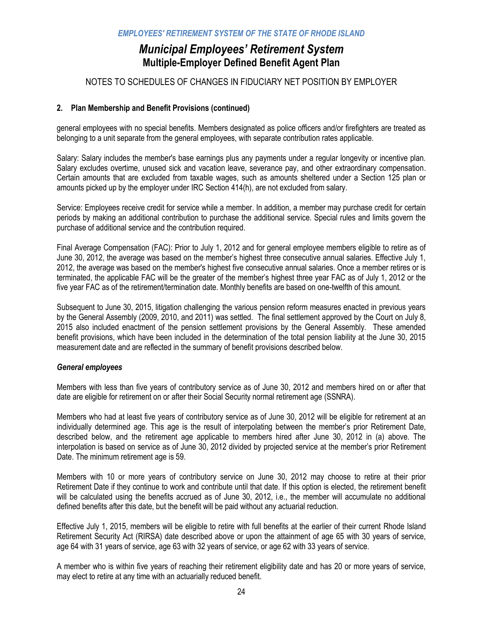### NOTES TO SCHEDULES OF CHANGES IN FIDUCIARY NET POSITION BY EMPLOYER

### **2. Plan Membership and Benefit Provisions (continued)**

general employees with no special benefits. Members designated as police officers and/or firefighters are treated as belonging to a unit separate from the general employees, with separate contribution rates applicable.

Salary: Salary includes the member's base earnings plus any payments under a regular longevity or incentive plan. Salary excludes overtime, unused sick and vacation leave, severance pay, and other extraordinary compensation. Certain amounts that are excluded from taxable wages, such as amounts sheltered under a Section 125 plan or amounts picked up by the employer under IRC Section 414(h), are not excluded from salary.

Service: Employees receive credit for service while a member. In addition, a member may purchase credit for certain periods by making an additional contribution to purchase the additional service. Special rules and limits govern the purchase of additional service and the contribution required.

Final Average Compensation (FAC): Prior to July 1, 2012 and for general employee members eligible to retire as of June 30, 2012, the average was based on the member's highest three consecutive annual salaries. Effective July 1, 2012, the average was based on the member's highest five consecutive annual salaries. Once a member retires or is terminated, the applicable FAC will be the greater of the member's highest three year FAC as of July 1, 2012 or the five year FAC as of the retirement/termination date. Monthly benefits are based on one-twelfth of this amount.

Subsequent to June 30, 2015, litigation challenging the various pension reform measures enacted in previous years by the General Assembly (2009, 2010, and 2011) was settled. The final settlement approved by the Court on July 8, 2015 also included enactment of the pension settlement provisions by the General Assembly. These amended benefit provisions, which have been included in the determination of the total pension liability at the June 30, 2015 measurement date and are reflected in the summary of benefit provisions described below.

#### *General employees*

Members with less than five years of contributory service as of June 30, 2012 and members hired on or after that date are eligible for retirement on or after their Social Security normal retirement age (SSNRA).

Members who had at least five years of contributory service as of June 30, 2012 will be eligible for retirement at an individually determined age. This age is the result of interpolating between the member's prior Retirement Date, described below, and the retirement age applicable to members hired after June 30, 2012 in (a) above. The interpolation is based on service as of June 30, 2012 divided by projected service at the member's prior Retirement Date. The minimum retirement age is 59.

Members with 10 or more years of contributory service on June 30, 2012 may choose to retire at their prior Retirement Date if they continue to work and contribute until that date. If this option is elected, the retirement benefit will be calculated using the benefits accrued as of June 30, 2012, i.e., the member will accumulate no additional defined benefits after this date, but the benefit will be paid without any actuarial reduction.

Effective July 1, 2015, members will be eligible to retire with full benefits at the earlier of their current Rhode Island Retirement Security Act (RIRSA) date described above or upon the attainment of age 65 with 30 years of service, age 64 with 31 years of service, age 63 with 32 years of service, or age 62 with 33 years of service.

A member who is within five years of reaching their retirement eligibility date and has 20 or more years of service, may elect to retire at any time with an actuarially reduced benefit.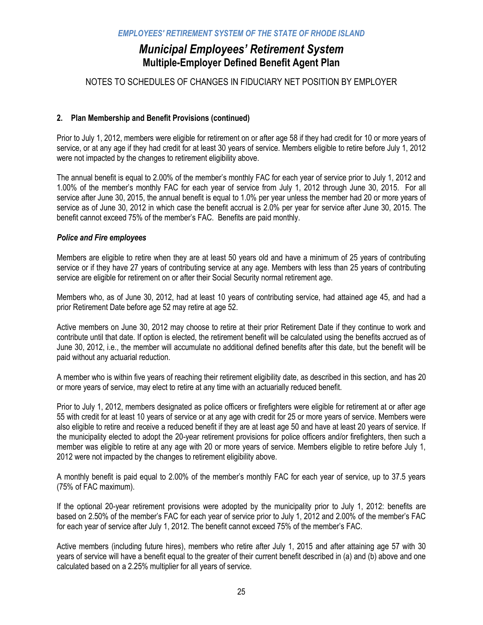NOTES TO SCHEDULES OF CHANGES IN FIDUCIARY NET POSITION BY EMPLOYER

### **2. Plan Membership and Benefit Provisions (continued)**

Prior to July 1, 2012, members were eligible for retirement on or after age 58 if they had credit for 10 or more years of service, or at any age if they had credit for at least 30 years of service. Members eligible to retire before July 1, 2012 were not impacted by the changes to retirement eligibility above.

The annual benefit is equal to 2.00% of the member's monthly FAC for each year of service prior to July 1, 2012 and 1.00% of the member's monthly FAC for each year of service from July 1, 2012 through June 30, 2015. For all service after June 30, 2015, the annual benefit is equal to 1.0% per year unless the member had 20 or more years of service as of June 30, 2012 in which case the benefit accrual is 2.0% per year for service after June 30, 2015. The benefit cannot exceed 75% of the member's FAC. Benefits are paid monthly.

### *Police and Fire employees*

Members are eligible to retire when they are at least 50 years old and have a minimum of 25 years of contributing service or if they have 27 years of contributing service at any age. Members with less than 25 years of contributing service are eligible for retirement on or after their Social Security normal retirement age.

Members who, as of June 30, 2012, had at least 10 years of contributing service, had attained age 45, and had a prior Retirement Date before age 52 may retire at age 52.

Active members on June 30, 2012 may choose to retire at their prior Retirement Date if they continue to work and contribute until that date. If option is elected, the retirement benefit will be calculated using the benefits accrued as of June 30, 2012, i.e., the member will accumulate no additional defined benefits after this date, but the benefit will be paid without any actuarial reduction.

A member who is within five years of reaching their retirement eligibility date, as described in this section, and has 20 or more years of service, may elect to retire at any time with an actuarially reduced benefit.

Prior to July 1, 2012, members designated as police officers or firefighters were eligible for retirement at or after age 55 with credit for at least 10 years of service or at any age with credit for 25 or more years of service. Members were also eligible to retire and receive a reduced benefit if they are at least age 50 and have at least 20 years of service. If the municipality elected to adopt the 20-year retirement provisions for police officers and/or firefighters, then such a member was eligible to retire at any age with 20 or more years of service. Members eligible to retire before July 1, 2012 were not impacted by the changes to retirement eligibility above.

A monthly benefit is paid equal to 2.00% of the member's monthly FAC for each year of service, up to 37.5 years (75% of FAC maximum).

If the optional 20-year retirement provisions were adopted by the municipality prior to July 1, 2012: benefits are based on 2.50% of the member's FAC for each year of service prior to July 1, 2012 and 2.00% of the member's FAC for each year of service after July 1, 2012. The benefit cannot exceed 75% of the member's FAC.

Active members (including future hires), members who retire after July 1, 2015 and after attaining age 57 with 30 years of service will have a benefit equal to the greater of their current benefit described in (a) and (b) above and one calculated based on a 2.25% multiplier for all years of service.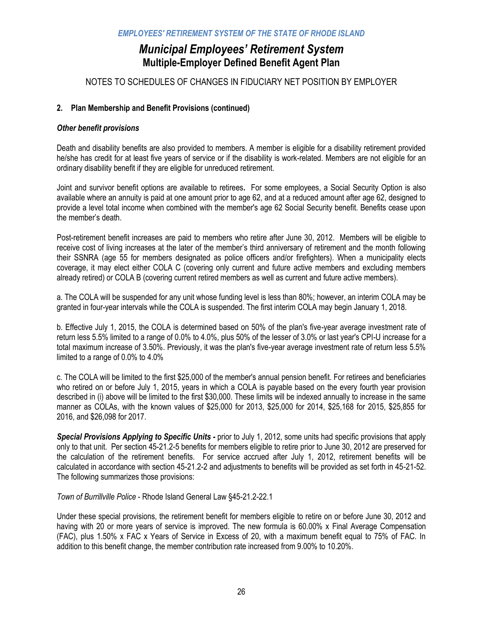NOTES TO SCHEDULES OF CHANGES IN FIDUCIARY NET POSITION BY EMPLOYER

### **2. Plan Membership and Benefit Provisions (continued)**

### *Other benefit provisions*

Death and disability benefits are also provided to members. A member is eligible for a disability retirement provided he/she has credit for at least five years of service or if the disability is work-related. Members are not eligible for an ordinary disability benefit if they are eligible for unreduced retirement.

Joint and survivor benefit options are available to retirees**.** For some employees, a Social Security Option is also available where an annuity is paid at one amount prior to age 62, and at a reduced amount after age 62, designed to provide a level total income when combined with the member's age 62 Social Security benefit. Benefits cease upon the member's death.

Post-retirement benefit increases are paid to members who retire after June 30, 2012. Members will be eligible to receive cost of living increases at the later of the member's third anniversary of retirement and the month following their SSNRA (age 55 for members designated as police officers and/or firefighters). When a municipality elects coverage, it may elect either COLA C (covering only current and future active members and excluding members already retired) or COLA B (covering current retired members as well as current and future active members).

a. The COLA will be suspended for any unit whose funding level is less than 80%; however, an interim COLA may be granted in four-year intervals while the COLA is suspended. The first interim COLA may begin January 1, 2018.

b. Effective July 1, 2015, the COLA is determined based on 50% of the plan's five-year average investment rate of return less 5.5% limited to a range of 0.0% to 4.0%, plus 50% of the lesser of 3.0% or last year's CPI-U increase for a total maximum increase of 3.50%. Previously, it was the plan's five-year average investment rate of return less 5.5% limited to a range of 0.0% to 4.0%

c. The COLA will be limited to the first \$25,000 of the member's annual pension benefit. For retirees and beneficiaries who retired on or before July 1, 2015, years in which a COLA is payable based on the every fourth year provision described in (i) above will be limited to the first \$30,000. These limits will be indexed annually to increase in the same manner as COLAs, with the known values of \$25,000 for 2013, \$25,000 for 2014, \$25,168 for 2015, \$25,855 for 2016, and \$26,098 for 2017.

*Special Provisions Applying to Specific Units -* prior to July 1, 2012, some units had specific provisions that apply only to that unit. Per section 45-21.2-5 benefits for members eligible to retire prior to June 30, 2012 are preserved for the calculation of the retirement benefits. For service accrued after July 1, 2012, retirement benefits will be calculated in accordance with section 45-21.2-2 and adjustments to benefits will be provided as set forth in 45-21-52. The following summarizes those provisions:

*Town of Burrillville Police* - Rhode Island General Law §45-21.2-22.1

Under these special provisions, the retirement benefit for members eligible to retire on or before June 30, 2012 and having with 20 or more years of service is improved. The new formula is 60.00% x Final Average Compensation (FAC), plus 1.50% x FAC x Years of Service in Excess of 20, with a maximum benefit equal to 75% of FAC. In addition to this benefit change, the member contribution rate increased from 9.00% to 10.20%.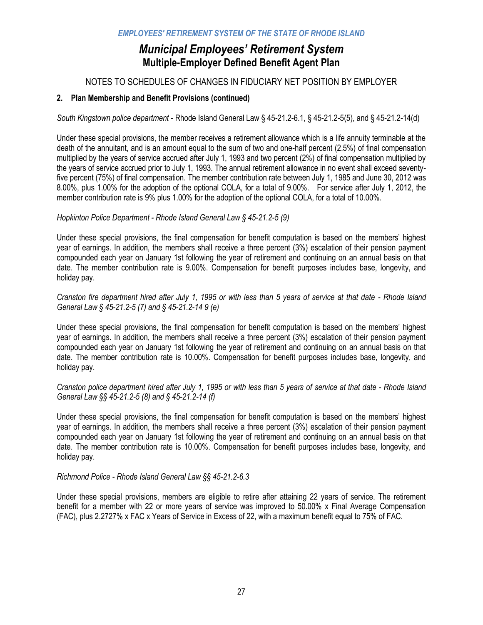# *Municipal Employees' Retirement System*  **Multiple-Employer Defined Benefit Agent Plan**

### NOTES TO SCHEDULES OF CHANGES IN FIDUCIARY NET POSITION BY EMPLOYER

### **2. Plan Membership and Benefit Provisions (continued)**

*South Kingstown police department* - Rhode Island General Law § 45-21.2-6.1, § 45-21.2-5(5), and § 45-21.2-14(d)

Under these special provisions, the member receives a retirement allowance which is a life annuity terminable at the death of the annuitant, and is an amount equal to the sum of two and one-half percent (2.5%) of final compensation multiplied by the years of service accrued after July 1, 1993 and two percent (2%) of final compensation multiplied by the years of service accrued prior to July 1, 1993. The annual retirement allowance in no event shall exceed seventyfive percent (75%) of final compensation. The member contribution rate between July 1, 1985 and June 30, 2012 was 8.00%, plus 1.00% for the adoption of the optional COLA, for a total of 9.00%. For service after July 1, 2012, the member contribution rate is 9% plus 1.00% for the adoption of the optional COLA, for a total of 10.00%.

### *Hopkinton Police Department - Rhode Island General Law § 45-21.2-5 (9)*

Under these special provisions, the final compensation for benefit computation is based on the members' highest year of earnings. In addition, the members shall receive a three percent (3%) escalation of their pension payment compounded each year on January 1st following the year of retirement and continuing on an annual basis on that date. The member contribution rate is 9.00%. Compensation for benefit purposes includes base, longevity, and holiday pay.

### *Cranston fire department hired after July 1, 1995 or with less than 5 years of service at that date - Rhode Island General Law § 45-21.2-5 (7) and § 45-21.2-14 9 (e)*

Under these special provisions, the final compensation for benefit computation is based on the members' highest year of earnings. In addition, the members shall receive a three percent (3%) escalation of their pension payment compounded each year on January 1st following the year of retirement and continuing on an annual basis on that date. The member contribution rate is 10.00%. Compensation for benefit purposes includes base, longevity, and holiday pay.

### *Cranston police department hired after July 1, 1995 or with less than 5 years of service at that date - Rhode Island General Law §§ 45-21.2-5 (8) and § 45-21.2-14 (f)*

Under these special provisions, the final compensation for benefit computation is based on the members' highest year of earnings. In addition, the members shall receive a three percent (3%) escalation of their pension payment compounded each year on January 1st following the year of retirement and continuing on an annual basis on that date. The member contribution rate is 10.00%. Compensation for benefit purposes includes base, longevity, and holiday pay.

#### *Richmond Police - Rhode Island General Law §§ 45-21.2-6.3*

Under these special provisions, members are eligible to retire after attaining 22 years of service. The retirement benefit for a member with 22 or more years of service was improved to 50.00% x Final Average Compensation (FAC), plus 2.2727% x FAC x Years of Service in Excess of 22, with a maximum benefit equal to 75% of FAC.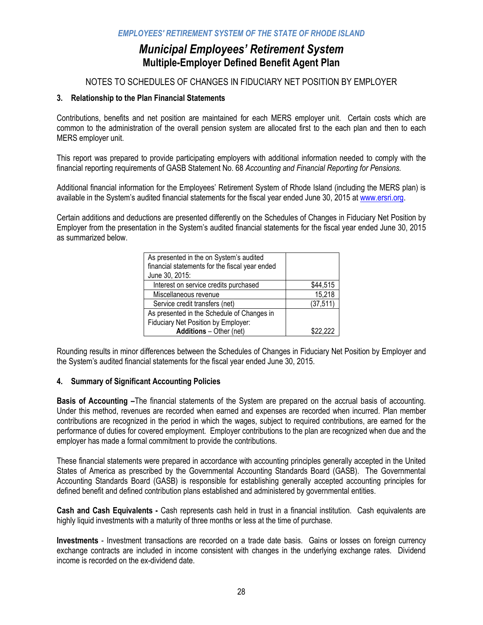# *Municipal Employees' Retirement System*  **Multiple-Employer Defined Benefit Agent Plan**

### NOTES TO SCHEDULES OF CHANGES IN FIDUCIARY NET POSITION BY EMPLOYER

### **3. Relationship to the Plan Financial Statements**

Contributions, benefits and net position are maintained for each MERS employer unit. Certain costs which are common to the administration of the overall pension system are allocated first to the each plan and then to each MERS employer unit.

This report was prepared to provide participating employers with additional information needed to comply with the financial reporting requirements of GASB Statement No. 68 *Accounting and Financial Reporting for Pensions.* 

Additional financial information for the Employees' Retirement System of Rhode Island (including the MERS plan) is available in the System's audited financial statements for the fiscal year ended June 30, 2015 a[t www.ersri.org.](http://www.ersri.org/)

Certain additions and deductions are presented differently on the Schedules of Changes in Fiduciary Net Position by Employer from the presentation in the System's audited financial statements for the fiscal year ended June 30, 2015 as summarized below.

| As presented in the on System's audited<br>financial statements for the fiscal year ended<br>June 30, 2015: |           |
|-------------------------------------------------------------------------------------------------------------|-----------|
| Interest on service credits purchased                                                                       | \$44,515  |
| Miscellaneous revenue                                                                                       | 15,218    |
| Service credit transfers (net)                                                                              | (37, 511) |
| As presented in the Schedule of Changes in                                                                  |           |
| Fiduciary Net Position by Employer:                                                                         |           |
| <b>Additions</b> - Other (net)                                                                              |           |

Rounding results in minor differences between the Schedules of Changes in Fiduciary Net Position by Employer and the System's audited financial statements for the fiscal year ended June 30, 2015.

#### **4. Summary of Significant Accounting Policies**

**Basis of Accounting –**The financial statements of the System are prepared on the accrual basis of accounting. Under this method, revenues are recorded when earned and expenses are recorded when incurred. Plan member contributions are recognized in the period in which the wages, subject to required contributions, are earned for the performance of duties for covered employment. Employer contributions to the plan are recognized when due and the employer has made a formal commitment to provide the contributions.

These financial statements were prepared in accordance with accounting principles generally accepted in the United States of America as prescribed by the Governmental Accounting Standards Board (GASB). The Governmental Accounting Standards Board (GASB) is responsible for establishing generally accepted accounting principles for defined benefit and defined contribution plans established and administered by governmental entities.

**Cash and Cash Equivalents -** Cash represents cash held in trust in a financial institution. Cash equivalents are highly liquid investments with a maturity of three months or less at the time of purchase.

**Investments** - Investment transactions are recorded on a trade date basis. Gains or losses on foreign currency exchange contracts are included in income consistent with changes in the underlying exchange rates. Dividend income is recorded on the ex-dividend date.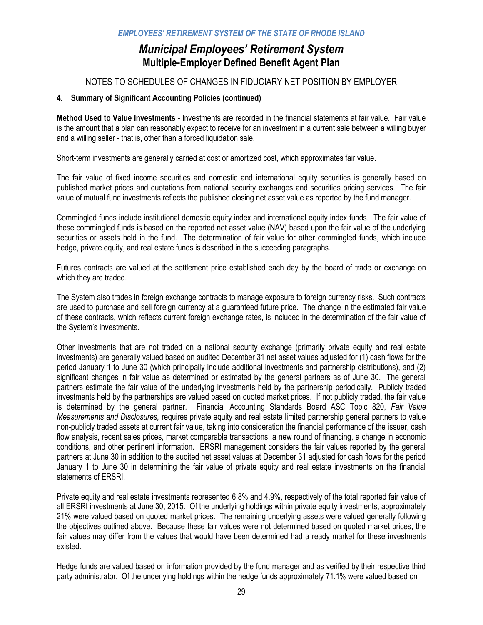# *Municipal Employees' Retirement System*  **Multiple-Employer Defined Benefit Agent Plan**

### NOTES TO SCHEDULES OF CHANGES IN FIDUCIARY NET POSITION BY EMPLOYER

### **4. Summary of Significant Accounting Policies (continued)**

**Method Used to Value Investments -** Investments are recorded in the financial statements at fair value. Fair value is the amount that a plan can reasonably expect to receive for an investment in a current sale between a willing buyer and a willing seller - that is, other than a forced liquidation sale.

Short-term investments are generally carried at cost or amortized cost, which approximates fair value.

The fair value of fixed income securities and domestic and international equity securities is generally based on published market prices and quotations from national security exchanges and securities pricing services. The fair value of mutual fund investments reflects the published closing net asset value as reported by the fund manager.

Commingled funds include institutional domestic equity index and international equity index funds. The fair value of these commingled funds is based on the reported net asset value (NAV) based upon the fair value of the underlying securities or assets held in the fund. The determination of fair value for other commingled funds, which include hedge, private equity, and real estate funds is described in the succeeding paragraphs.

Futures contracts are valued at the settlement price established each day by the board of trade or exchange on which they are traded.

The System also trades in foreign exchange contracts to manage exposure to foreign currency risks. Such contracts are used to purchase and sell foreign currency at a guaranteed future price. The change in the estimated fair value of these contracts, which reflects current foreign exchange rates, is included in the determination of the fair value of the System's investments.

Other investments that are not traded on a national security exchange (primarily private equity and real estate investments) are generally valued based on audited December 31 net asset values adjusted for (1) cash flows for the period January 1 to June 30 (which principally include additional investments and partnership distributions), and (2) significant changes in fair value as determined or estimated by the general partners as of June 30. The general partners estimate the fair value of the underlying investments held by the partnership periodically. Publicly traded investments held by the partnerships are valued based on quoted market prices. If not publicly traded, the fair value is determined by the general partner. Financial Accounting Standards Board ASC Topic 820, *Fair Value Measurements and Disclosures,* requires private equity and real estate limited partnership general partners to value non-publicly traded assets at current fair value, taking into consideration the financial performance of the issuer, cash flow analysis, recent sales prices, market comparable transactions, a new round of financing, a change in economic conditions, and other pertinent information. ERSRI management considers the fair values reported by the general partners at June 30 in addition to the audited net asset values at December 31 adjusted for cash flows for the period January 1 to June 30 in determining the fair value of private equity and real estate investments on the financial statements of ERSRI.

Private equity and real estate investments represented 6.8% and 4.9%, respectively of the total reported fair value of all ERSRI investments at June 30, 2015. Of the underlying holdings within private equity investments, approximately 21% were valued based on quoted market prices. The remaining underlying assets were valued generally following the objectives outlined above. Because these fair values were not determined based on quoted market prices, the fair values may differ from the values that would have been determined had a ready market for these investments existed.

Hedge funds are valued based on information provided by the fund manager and as verified by their respective third party administrator. Of the underlying holdings within the hedge funds approximately 71.1% were valued based on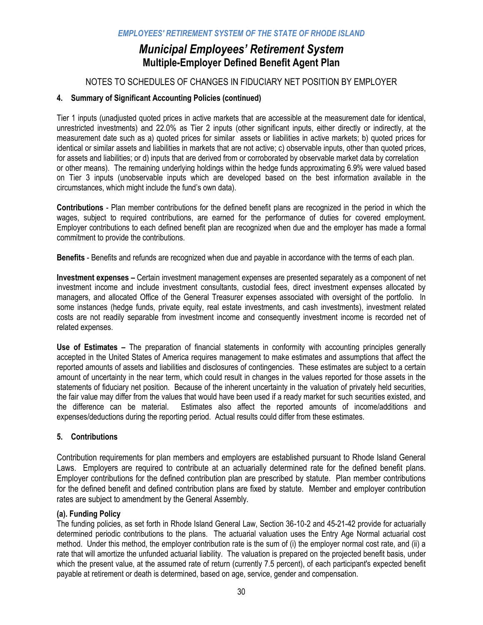# *Municipal Employees' Retirement System*  **Multiple-Employer Defined Benefit Agent Plan**

### NOTES TO SCHEDULES OF CHANGES IN FIDUCIARY NET POSITION BY EMPLOYER

### **4. Summary of Significant Accounting Policies (continued)**

Tier 1 inputs (unadjusted quoted prices in active markets that are accessible at the measurement date for identical, unrestricted investments) and 22.0% as Tier 2 inputs (other significant inputs, either directly or indirectly, at the measurement date such as a) quoted prices for similar assets or liabilities in active markets; b) quoted prices for identical or similar assets and liabilities in markets that are not active; c) observable inputs, other than quoted prices, for assets and liabilities; or d) inputs that are derived from or corroborated by observable market data by correlation or other means). The remaining underlying holdings within the hedge funds approximating 6.9% were valued based on Tier 3 inputs (unobservable inputs which are developed based on the best information available in the circumstances, which might include the fund's own data).

**Contributions** - Plan member contributions for the defined benefit plans are recognized in the period in which the wages, subject to required contributions, are earned for the performance of duties for covered employment. Employer contributions to each defined benefit plan are recognized when due and the employer has made a formal commitment to provide the contributions.

**Benefits** - Benefits and refunds are recognized when due and payable in accordance with the terms of each plan.

**Investment expenses –** Certain investment management expenses are presented separately as a component of net investment income and include investment consultants, custodial fees, direct investment expenses allocated by managers, and allocated Office of the General Treasurer expenses associated with oversight of the portfolio. In some instances (hedge funds, private equity, real estate investments, and cash investments), investment related costs are not readily separable from investment income and consequently investment income is recorded net of related expenses.

**Use of Estimates –** The preparation of financial statements in conformity with accounting principles generally accepted in the United States of America requires management to make estimates and assumptions that affect the reported amounts of assets and liabilities and disclosures of contingencies. These estimates are subject to a certain amount of uncertainty in the near term, which could result in changes in the values reported for those assets in the statements of fiduciary net position. Because of the inherent uncertainty in the valuation of privately held securities, the fair value may differ from the values that would have been used if a ready market for such securities existed, and the difference can be material. Estimates also affect the reported amounts of income/additions and expenses/deductions during the reporting period. Actual results could differ from these estimates.

### **5. Contributions**

Contribution requirements for plan members and employers are established pursuant to Rhode Island General Laws. Employers are required to contribute at an actuarially determined rate for the defined benefit plans. Employer contributions for the defined contribution plan are prescribed by statute. Plan member contributions for the defined benefit and defined contribution plans are fixed by statute. Member and employer contribution rates are subject to amendment by the General Assembly.

### **(a). Funding Policy**

The funding policies, as set forth in Rhode Island General Law, Section 36-10-2 and 45-21-42 provide for actuarially determined periodic contributions to the plans. The actuarial valuation uses the Entry Age Normal actuarial cost method. Under this method, the employer contribution rate is the sum of (i) the employer normal cost rate, and (ii) a rate that will amortize the unfunded actuarial liability. The valuation is prepared on the projected benefit basis, under which the present value, at the assumed rate of return (currently 7.5 percent), of each participant's expected benefit payable at retirement or death is determined, based on age, service, gender and compensation.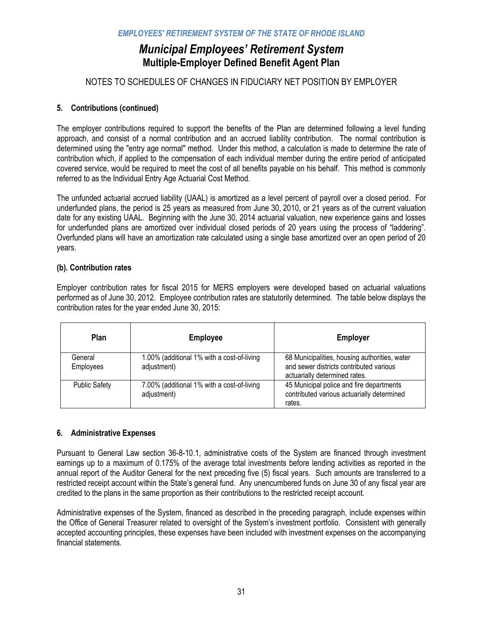NOTES TO SCHEDULES OF CHANGES IN FIDUCIARY NET POSITION BY EMPLOYER

### **5. Contributions (continued)**

The employer contributions required to support the benefits of the Plan are determined following a level funding approach, and consist of a normal contribution and an accrued liability contribution. The normal contribution is determined using the "entry age normal" method. Under this method, a calculation is made to determine the rate of contribution which, if applied to the compensation of each individual member during the entire period of anticipated covered service, would be required to meet the cost of all benefits payable on his behalf. This method is commonly referred to as the Individual Entry Age Actuarial Cost Method.

The unfunded actuarial accrued liability (UAAL) is amortized as a level percent of payroll over a closed period. For underfunded plans, the period is 25 years as measured from June 30, 2010, or 21 years as of the current valuation date for any existing UAAL. Beginning with the June 30, 2014 actuarial valuation, new experience gains and losses for underfunded plans are amortized over individual closed periods of 20 years using the process of "laddering". Overfunded plans will have an amortization rate calculated using a single base amortized over an open period of 20 years.

### **(b). Contribution rates**

Employer contribution rates for fiscal 2015 for MERS employers were developed based on actuarial valuations performed as of June 30, 2012. Employee contribution rates are statutorily determined. The table below displays the contribution rates for the year ended June 30, 2015:

| <b>Plan</b>                 | <b>Employee</b>                                           | <b>Employer</b>                                                                                                           |
|-----------------------------|-----------------------------------------------------------|---------------------------------------------------------------------------------------------------------------------------|
| General<br><b>Employees</b> | 1.00% (additional 1% with a cost-of-living<br>adjustment) | 68 Municipalities, housing authorities, water<br>and sewer districts contributed various<br>actuarially determined rates. |
| <b>Public Safety</b>        | 7.00% (additional 1% with a cost-of-living<br>adjustment) | 45 Municipal police and fire departments<br>contributed various actuarially determined<br>rates.                          |

### **6. Administrative Expenses**

Pursuant to General Law section 36-8-10.1, administrative costs of the System are financed through investment earnings up to a maximum of 0.175% of the average total investments before lending activities as reported in the annual report of the Auditor General for the next preceding five (5) fiscal years. Such amounts are transferred to a restricted receipt account within the State's general fund. Any unencumbered funds on June 30 of any fiscal year are credited to the plans in the same proportion as their contributions to the restricted receipt account.

Administrative expenses of the System, financed as described in the preceding paragraph, include expenses within the Office of General Treasurer related to oversight of the System's investment portfolio. Consistent with generally accepted accounting principles, these expenses have been included with investment expenses on the accompanying financial statements.